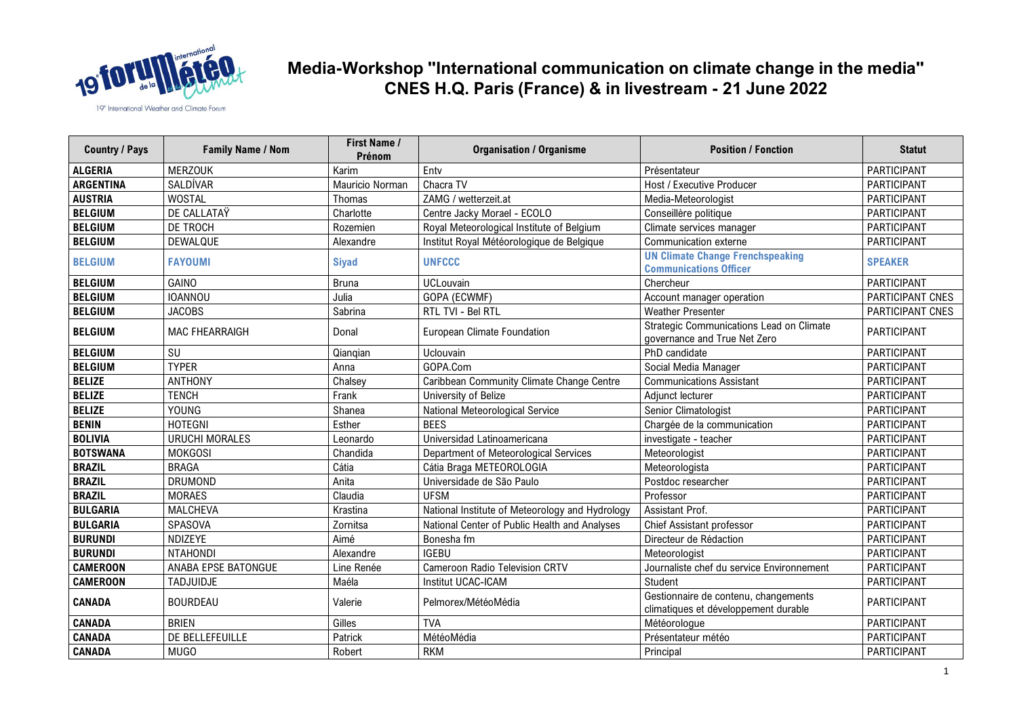

| <b>Country / Pays</b> | <b>Family Name / Nom</b> | <b>First Name /</b><br>Prénom | <b>Organisation / Organisme</b>                 | <b>Position / Fonction</b>                                                   | <b>Statut</b>      |
|-----------------------|--------------------------|-------------------------------|-------------------------------------------------|------------------------------------------------------------------------------|--------------------|
| <b>ALGERIA</b>        | <b>MERZOUK</b>           | Karim                         | Enty                                            | Présentateur                                                                 | PARTICIPANT        |
| <b>ARGENTINA</b>      | SALDÍVAR                 | Mauricio Norman               | Chacra TV                                       | Host / Executive Producer                                                    | PARTICIPANT        |
| <b>AUSTRIA</b>        | <b>WOSTAL</b>            | Thomas                        | ZAMG / wetterzeit.at                            | Media-Meteorologist                                                          | PARTICIPANT        |
| <b>BELGIUM</b>        | DE CALLATAŸ              | Charlotte                     | Centre Jacky Morael - ECOLO                     | Conseillère politique                                                        | PARTICIPANT        |
| <b>BELGIUM</b>        | DE TROCH                 | Rozemien                      | Royal Meteorological Institute of Belgium       | Climate services manager                                                     | PARTICIPANT        |
| <b>BELGIUM</b>        | DEWALQUE                 | Alexandre                     | Institut Royal Météorologique de Belgique       | Communication externe                                                        | PARTICIPANT        |
| <b>BELGIUM</b>        | <b>FAYOUMI</b>           | <b>Siyad</b>                  | <b>UNFCCC</b>                                   | <b>UN Climate Change Frenchspeaking</b><br><b>Communications Officer</b>     | <b>SPEAKER</b>     |
| <b>BELGIUM</b>        | GAINO                    | <b>Bruna</b>                  | UCLouvain                                       | Chercheur                                                                    | PARTICIPANT        |
| <b>BELGIUM</b>        | <b>IOANNOU</b>           | Julia                         | GOPA (ECWMF)                                    | Account manager operation                                                    | PARTICIPANT CNES   |
| <b>BELGIUM</b>        | <b>JACOBS</b>            | Sabrina                       | RTL TVI - Bel RTL                               | <b>Weather Presenter</b>                                                     | PARTICIPANT CNES   |
| <b>BELGIUM</b>        | <b>MAC FHEARRAIGH</b>    | Donal                         | European Climate Foundation                     | Strategic Communications Lead on Climate<br>governance and True Net Zero     | PARTICIPANT        |
| <b>BELGIUM</b>        | SU                       | Qianqian                      | Uclouvain                                       | PhD candidate                                                                | PARTICIPANT        |
| <b>BELGIUM</b>        | <b>TYPER</b>             | Anna                          | GOPA.Com                                        | Social Media Manager                                                         | PARTICIPANT        |
| <b>BELIZE</b>         | <b>ANTHONY</b>           | Chalsey                       | Caribbean Community Climate Change Centre       | <b>Communications Assistant</b>                                              | PARTICIPANT        |
| <b>BELIZE</b>         | <b>TENCH</b>             | Frank                         | University of Belize                            | Adjunct lecturer                                                             | PARTICIPANT        |
| <b>BELIZE</b>         | YOUNG                    | Shanea                        | National Meteorological Service                 | Senior Climatologist                                                         | PARTICIPANT        |
| <b>BENIN</b>          | <b>HOTEGNI</b>           | Esther                        | <b>BEES</b>                                     | Chargée de la communication                                                  | PARTICIPANT        |
| <b>BOLIVIA</b>        | <b>URUCHI MORALES</b>    | Leonardo                      | Universidad Latinoamericana                     | investigate - teacher                                                        | PARTICIPANT        |
| <b>BOTSWANA</b>       | <b>MOKGOSI</b>           | Chandida                      | Department of Meteorological Services           | Meteorologist                                                                | PARTICIPANT        |
| <b>BRAZIL</b>         | <b>BRAGA</b>             | Cátia                         | Cátia Braga METEOROLOGIA                        | Meteorologista                                                               | PARTICIPANT        |
| <b>BRAZIL</b>         | <b>DRUMOND</b>           | Anita                         | Universidade de São Paulo                       | Postdoc researcher                                                           | PARTICIPANT        |
| <b>BRAZIL</b>         | <b>MORAES</b>            | Claudia                       | <b>UFSM</b>                                     | Professor                                                                    | PARTICIPANT        |
| <b>BULGARIA</b>       | <b>MALCHEVA</b>          | Krastina                      | National Institute of Meteorology and Hydrology | Assistant Prof.                                                              | PARTICIPANT        |
| <b>BULGARIA</b>       | SPASOVA                  | Zornitsa                      | National Center of Public Health and Analyses   | Chief Assistant professor                                                    | PARTICIPANT        |
| <b>BURUNDI</b>        | NDIZEYE                  | Aimé                          | Bonesha fm                                      | Directeur de Rédaction                                                       | PARTICIPANT        |
| <b>BURUNDI</b>        | <b>NTAHONDI</b>          | Alexandre                     | <b>IGEBU</b>                                    | Meteorologist                                                                | PARTICIPANT        |
| <b>CAMEROON</b>       | ANABA EPSE BATONGUE      | Line Renée                    | Cameroon Radio Television CRTV                  | Journaliste chef du service Environnement                                    | PARTICIPANT        |
| <b>CAMEROON</b>       | <b>TADJUIDJE</b>         | Maéla                         | Institut UCAC-ICAM                              | Student                                                                      | PARTICIPANT        |
| <b>CANADA</b>         | <b>BOURDEAU</b>          | Valerie                       | Pelmorex/MétéoMédia                             | Gestionnaire de contenu, changements<br>climatiques et développement durable | PARTICIPANT        |
| <b>CANADA</b>         | <b>BRIEN</b>             | Gilles                        | <b>TVA</b>                                      | Météorologue                                                                 | <b>PARTICIPANT</b> |
| <b>CANADA</b>         | DE BELLEFEUILLE          | Patrick                       | MétéoMédia                                      | Présentateur météo                                                           | PARTICIPANT        |
| <b>CANADA</b>         | MUGO                     | Robert                        | <b>RKM</b>                                      | Principal                                                                    | PARTICIPANT        |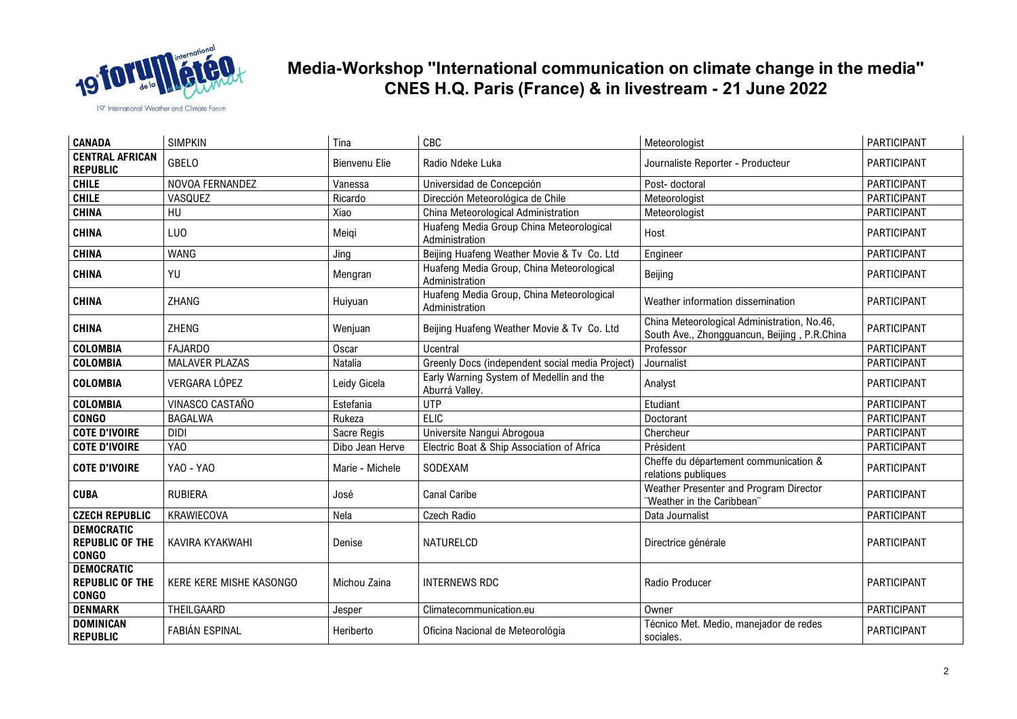

| <b>CANADA</b>                                               | <b>SIMPKIN</b>          | Tina            | CBC                                                         | Meteorologist                                                                               | PARTICIPANT        |
|-------------------------------------------------------------|-------------------------|-----------------|-------------------------------------------------------------|---------------------------------------------------------------------------------------------|--------------------|
| <b>CENTRAL AFRICAN</b><br><b>REPUBLIC</b>                   | <b>GBELO</b>            | Bienvenu Elie   | Radio Ndeke Luka                                            | Journaliste Reporter - Producteur                                                           | PARTICIPANT        |
| <b>CHILE</b>                                                | NOVOA FERNANDEZ         | Vanessa         | Universidad de Concepción                                   | Post-doctoral                                                                               | <b>PARTICIPANT</b> |
| <b>CHILE</b>                                                | VASQUEZ                 | Ricardo         | Dirección Meteorológica de Chile                            | Meteorologist                                                                               | PARTICIPANT        |
| <b>CHINA</b>                                                | HU                      | Xiao            | China Meteorological Administration                         | Meteorologist                                                                               | <b>PARTICIPANT</b> |
| <b>CHINA</b>                                                | <b>LUO</b>              | Meigi           | Huafeng Media Group China Meteorological<br>Administration  | Host                                                                                        | PARTICIPANT        |
| <b>CHINA</b>                                                | <b>WANG</b>             | Jing            | Beijing Huafeng Weather Movie & Tv Co. Ltd                  | Engineer                                                                                    | PARTICIPANT        |
| <b>CHINA</b>                                                | YU                      | Mengran         | Huafeng Media Group, China Meteorological<br>Administration | Beijing                                                                                     | PARTICIPANT        |
| <b>CHINA</b>                                                | ZHANG                   | Huiyuan         | Huafeng Media Group, China Meteorological<br>Administration | Weather information dissemination                                                           | PARTICIPANT        |
| <b>CHINA</b>                                                | ZHENG                   | Wenjuan         | Beijing Huafeng Weather Movie & Tv Co. Ltd                  | China Meteorological Administration, No.46,<br>South Ave., Zhongguancun, Beijing, P.R.China | PARTICIPANT        |
| <b>COLOMBIA</b>                                             | <b>FAJARDO</b>          | Oscar           | Ucentral                                                    | Professor                                                                                   | PARTICIPANT        |
| <b>COLOMBIA</b>                                             | <b>MALAVER PLAZAS</b>   | Natalia         | Greenly Docs (independent social media Project)             | Journalist                                                                                  | PARTICIPANT        |
| <b>COLOMBIA</b>                                             | VERGARA LÓPEZ           | Leidy Gicela    | Early Warning System of Medellín and the<br>Aburrá Valley.  | Analyst                                                                                     | PARTICIPANT        |
| <b>COLOMBIA</b>                                             | VINASCO CASTAÑO         | Estefania       | <b>UTP</b>                                                  | Etudiant                                                                                    | <b>PARTICIPANT</b> |
| <b>CONGO</b>                                                | <b>BAGALWA</b>          | Rukeza          | <b>ELIC</b>                                                 | Doctorant                                                                                   | PARTICIPANT        |
| <b>COTE D'IVOIRE</b>                                        | <b>DIDI</b>             | Sacre Regis     | Universite Nangui Abrogoua                                  | Chercheur                                                                                   | PARTICIPANT        |
| <b>COTE D'IVOIRE</b>                                        | YAO                     | Dibo Jean Herve | Electric Boat & Ship Association of Africa                  | Président                                                                                   | <b>PARTICIPANT</b> |
| <b>COTE D'IVOIRE</b>                                        | YAO - YAO               | Marie - Michele | SODEXAM                                                     | Cheffe du département communication &<br>relations publiques                                | <b>PARTICIPANT</b> |
| <b>CUBA</b>                                                 | <b>RUBIERA</b>          | José            | <b>Canal Caribe</b>                                         | Weather Presenter and Program Director<br>"Weather in the Caribbean"                        | PARTICIPANT        |
| <b>CZECH REPUBLIC</b>                                       | KRAWIECOVA              | Nela            | Czech Radio                                                 | Data Journalist                                                                             | <b>PARTICIPANT</b> |
| <b>DEMOCRATIC</b><br><b>REPUBLIC OF THE</b><br><b>CONGO</b> | KAVIRA KYAKWAHI         | Denise          | NATURELCD                                                   | Directrice générale                                                                         | PARTICIPANT        |
| <b>DEMOCRATIC</b><br><b>REPUBLIC OF THE</b><br><b>CONGO</b> | KERE KERE MISHE KASONGO | Michou Zaina    | <b>INTERNEWS RDC</b>                                        | Radio Producer                                                                              | PARTICIPANT        |
| <b>DENMARK</b>                                              | THEILGAARD              | Jesper          | Climatecommunication.eu                                     | Owner                                                                                       | PARTICIPANT        |
| <b>DOMINICAN</b><br><b>REPUBLIC</b>                         | <b>FABIÁN ESPINAL</b>   | Heriberto       | Oficina Nacional de Meteorológia                            | Técnico Met. Medio, manejador de redes<br>sociales.                                         | PARTICIPANT        |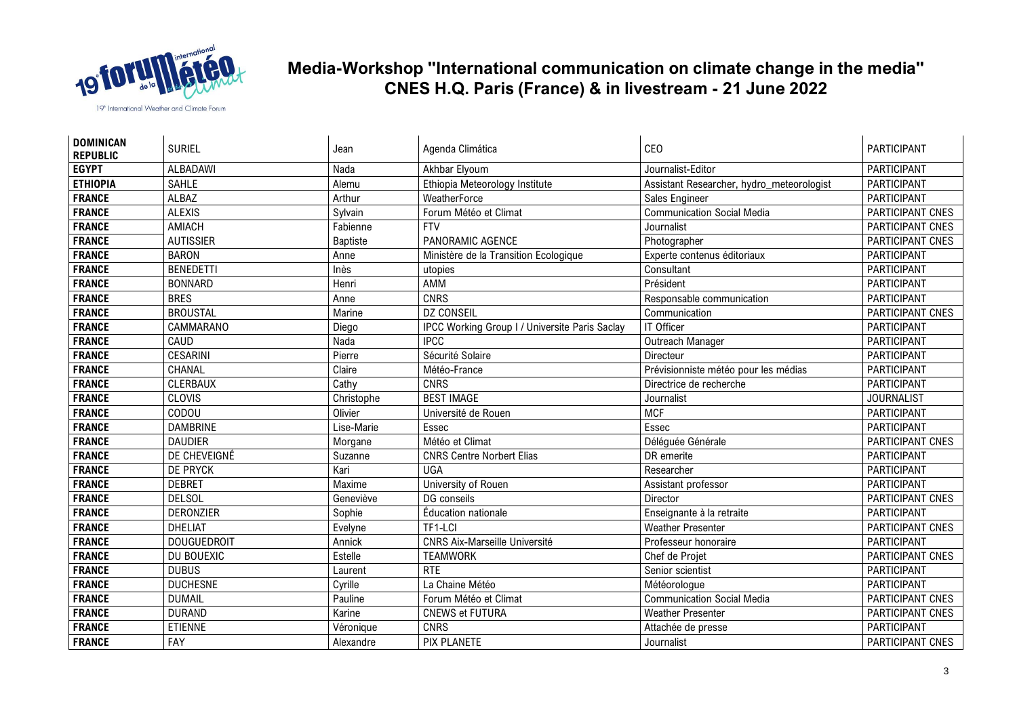

| <b>DOMINICAN</b><br><b>REPUBLIC</b> | <b>SURIEL</b>      | Jean            | Agenda Climática                               | <b>CEO</b>                                | <b>PARTICIPANT</b> |
|-------------------------------------|--------------------|-----------------|------------------------------------------------|-------------------------------------------|--------------------|
| <b>EGYPT</b>                        | <b>ALBADAWI</b>    | Nada            | Akhbar Elyoum                                  | Journalist-Editor                         | PARTICIPANT        |
| <b>ETHIOPIA</b>                     | <b>SAHLE</b>       | Alemu           | Ethiopia Meteorology Institute                 | Assistant Researcher, hydro_meteorologist | PARTICIPANT        |
| <b>FRANCE</b>                       | <b>ALBAZ</b>       | Arthur          | WeatherForce                                   | Sales Engineer                            | PARTICIPANT        |
| <b>FRANCE</b>                       | <b>ALEXIS</b>      | Sylvain         | Forum Météo et Climat                          | <b>Communication Social Media</b>         | PARTICIPANT CNES   |
| <b>FRANCE</b>                       | AMIACH             | Fabienne        | <b>FTV</b>                                     | Journalist                                | PARTICIPANT CNES   |
| <b>FRANCE</b>                       | <b>AUTISSIER</b>   | <b>Baptiste</b> | PANORAMIC AGENCE                               | Photographer                              | PARTICIPANT CNES   |
| <b>FRANCE</b>                       | <b>BARON</b>       | Anne            | Ministère de la Transition Ecologique          | Experte contenus éditoriaux               | PARTICIPANT        |
| <b>FRANCE</b>                       | <b>BENEDETTI</b>   | Inès            | utopies                                        | Consultant                                | PARTICIPANT        |
| <b>FRANCE</b>                       | <b>BONNARD</b>     | Henri           | AMM                                            | Président                                 | PARTICIPANT        |
| <b>FRANCE</b>                       | <b>BRES</b>        | Anne            | <b>CNRS</b>                                    | Responsable communication                 | <b>PARTICIPANT</b> |
| <b>FRANCE</b>                       | <b>BROUSTAL</b>    | Marine          | <b>DZ CONSEIL</b>                              | Communication                             | PARTICIPANT CNES   |
| <b>FRANCE</b>                       | CAMMARANO          | Diego           | IPCC Working Group I / Universite Paris Saclay | IT Officer                                | PARTICIPANT        |
| <b>FRANCE</b>                       | CAUD               | Nada            | <b>IPCC</b>                                    | Outreach Manager                          | PARTICIPANT        |
| <b>FRANCE</b>                       | <b>CESARINI</b>    | Pierre          | Sécurité Solaire                               | Directeur                                 | PARTICIPANT        |
| <b>FRANCE</b>                       | CHANAL             | Claire          | Météo-France                                   | Prévisionniste météo pour les médias      | PARTICIPANT        |
| <b>FRANCE</b>                       | <b>CLERBAUX</b>    | Cathy           | <b>CNRS</b>                                    | Directrice de recherche                   | PARTICIPANT        |
| <b>FRANCE</b>                       | <b>CLOVIS</b>      | Christophe      | <b>BEST IMAGE</b>                              | Journalist                                | <b>JOURNALIST</b>  |
| <b>FRANCE</b>                       | CODOU              | Olivier         | Université de Rouen                            | <b>MCF</b>                                | PARTICIPANT        |
| <b>FRANCE</b>                       | <b>DAMBRINE</b>    | Lise-Marie      | Essec                                          | Essec                                     | <b>PARTICIPANT</b> |
| <b>FRANCE</b>                       | <b>DAUDIER</b>     | Morgane         | Météo et Climat                                | Déléguée Générale                         | PARTICIPANT CNES   |
| <b>FRANCE</b>                       | DE CHEVEIGNÉ       | Suzanne         | <b>CNRS Centre Norbert Elias</b>               | DR emerite                                | PARTICIPANT        |
| <b>FRANCE</b>                       | <b>DE PRYCK</b>    | Kari            | <b>UGA</b>                                     | Researcher                                | PARTICIPANT        |
| <b>FRANCE</b>                       | <b>DEBRET</b>      | Maxime          | University of Rouen                            | Assistant professor                       | PARTICIPANT        |
| <b>FRANCE</b>                       | <b>DELSOL</b>      | Geneviève       | DG conseils                                    | Director                                  | PARTICIPANT CNES   |
| <b>FRANCE</b>                       | <b>DERONZIER</b>   | Sophie          | Éducation nationale                            | Enseignante à la retraite                 | PARTICIPANT        |
| <b>FRANCE</b>                       | <b>DHELIAT</b>     | Evelyne         | TF1-LCI                                        | <b>Weather Presenter</b>                  | PARTICIPANT CNES   |
| <b>FRANCE</b>                       | <b>DOUGUEDROIT</b> | Annick          | <b>CNRS Aix-Marseille Université</b>           | Professeur honoraire                      | PARTICIPANT        |
| <b>FRANCE</b>                       | DU BOUEXIC         | Estelle         | <b>TEAMWORK</b>                                | Chef de Projet                            | PARTICIPANT CNES   |
| <b>FRANCE</b>                       | <b>DUBUS</b>       | Laurent         | <b>RTE</b>                                     | Senior scientist                          | PARTICIPANT        |
| <b>FRANCE</b>                       | <b>DUCHESNE</b>    | Cyrille         | La Chaine Météo                                | Météorologue                              | PARTICIPANT        |
| <b>FRANCE</b>                       | <b>DUMAIL</b>      | Pauline         | Forum Météo et Climat                          | <b>Communication Social Media</b>         | PARTICIPANT CNES   |
| <b>FRANCE</b>                       | <b>DURAND</b>      | Karine          | <b>CNEWS et FUTURA</b>                         | <b>Weather Presenter</b>                  | PARTICIPANT CNES   |
| <b>FRANCE</b>                       | <b>ETIENNE</b>     | Véronique       | <b>CNRS</b>                                    | Attachée de presse                        | PARTICIPANT        |
| <b>FRANCE</b>                       | FAY                | Alexandre       | <b>PIX PLANETE</b>                             | Journalist                                | PARTICIPANT CNES   |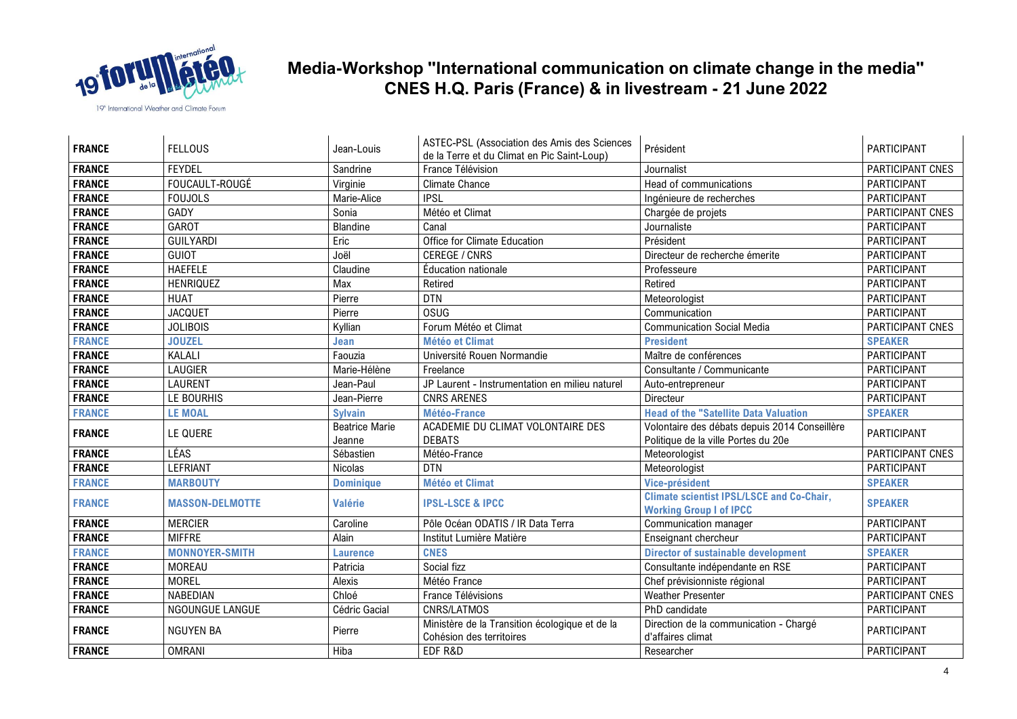

| <b>FRANCE</b> | <b>FELLOUS</b>         | Jean-Louis            | ASTEC-PSL (Association des Amis des Sciences<br>de la Terre et du Climat en Pic Saint-Loup) | Président                                                                          | PARTICIPANT        |
|---------------|------------------------|-----------------------|---------------------------------------------------------------------------------------------|------------------------------------------------------------------------------------|--------------------|
| <b>FRANCE</b> | <b>FEYDEL</b>          | Sandrine              | France Télévision                                                                           | Journalist                                                                         | PARTICIPANT CNES   |
| <b>FRANCE</b> | FOUCAULT-ROUGÉ         | Virginie              | <b>Climate Chance</b>                                                                       | Head of communications                                                             | PARTICIPANT        |
| <b>FRANCE</b> | <b>FOUJOLS</b>         | Marie-Alice           | <b>IPSL</b>                                                                                 | Ingénieure de recherches                                                           | PARTICIPANT        |
| <b>FRANCE</b> | GADY                   | Sonia                 | Météo et Climat                                                                             | Chargée de projets                                                                 | PARTICIPANT CNES   |
| <b>FRANCE</b> | <b>GAROT</b>           | Blandine              | Canal                                                                                       | Journaliste                                                                        | PARTICIPANT        |
| <b>FRANCE</b> | <b>GUILYARDI</b>       | Eric                  | Office for Climate Education                                                                | Président                                                                          | PARTICIPANT        |
| <b>FRANCE</b> | <b>GUIOT</b>           | Joël                  | <b>CEREGE / CNRS</b>                                                                        | Directeur de recherche émerite                                                     | PARTICIPANT        |
| <b>FRANCE</b> | <b>HAEFELE</b>         | Claudine              | Éducation nationale                                                                         | Professeure                                                                        | PARTICIPANT        |
| <b>FRANCE</b> | <b>HENRIQUEZ</b>       | Max                   | Retired                                                                                     | Retired                                                                            | PARTICIPANT        |
| <b>FRANCE</b> | <b>HUAT</b>            | Pierre                | <b>DTN</b>                                                                                  | Meteorologist                                                                      | PARTICIPANT        |
| <b>FRANCE</b> | <b>JACQUET</b>         | Pierre                | <b>OSUG</b>                                                                                 | Communication                                                                      | PARTICIPANT        |
| <b>FRANCE</b> | <b>JOLIBOIS</b>        | Kyllian               | Forum Météo et Climat                                                                       | <b>Communication Social Media</b>                                                  | PARTICIPANT CNES   |
| <b>FRANCE</b> | <b>JOUZEL</b>          | Jean                  | <b>Météo et Climat</b>                                                                      | <b>President</b>                                                                   | <b>SPEAKER</b>     |
| <b>FRANCE</b> | KALALI                 | Faouzia               | Université Rouen Normandie                                                                  | Maître de conférences                                                              | <b>PARTICIPANT</b> |
| <b>FRANCE</b> | <b>LAUGIER</b>         | Marie-Hélène          | Freelance                                                                                   | Consultante / Communicante                                                         | PARTICIPANT        |
| <b>FRANCE</b> | <b>LAURENT</b>         | Jean-Paul             | JP Laurent - Instrumentation en milieu naturel                                              | Auto-entrepreneur                                                                  | PARTICIPANT        |
| <b>FRANCE</b> | LE BOURHIS             | Jean-Pierre           | <b>CNRS ARENES</b>                                                                          | Directeur                                                                          | PARTICIPANT        |
| <b>FRANCE</b> | <b>LE MOAL</b>         | <b>Sylvain</b>        | Météo-France                                                                                | <b>Head of the "Satellite Data Valuation</b>                                       | <b>SPEAKER</b>     |
| <b>FRANCE</b> | LE QUERE               | <b>Beatrice Marie</b> | ACADEMIE DU CLIMAT VOLONTAIRE DES                                                           | Volontaire des débats depuis 2014 Conseillère                                      | <b>PARTICIPANT</b> |
|               |                        | Jeanne                | <b>DEBATS</b>                                                                               | Politique de la ville Portes du 20e                                                |                    |
| <b>FRANCE</b> | LÉAS                   | Sébastien             | Météo-France                                                                                | Meteorologist                                                                      | PARTICIPANT CNES   |
| <b>FRANCE</b> | <b>LEFRIANT</b>        | Nicolas               | <b>DTN</b>                                                                                  | Meteorologist                                                                      | PARTICIPANT        |
| <b>FRANCE</b> | <b>MARBOUTY</b>        | <b>Dominique</b>      | <b>Météo et Climat</b>                                                                      | Vice-président                                                                     | <b>SPEAKER</b>     |
| <b>FRANCE</b> | <b>MASSON-DELMOTTE</b> | <b>Valérie</b>        | <b>IPSL-LSCE &amp; IPCC</b>                                                                 | <b>Climate scientist IPSL/LSCE and Co-Chair,</b><br><b>Working Group I of IPCC</b> | <b>SPEAKER</b>     |
| <b>FRANCE</b> | <b>MERCIER</b>         | Caroline              | Pôle Océan ODATIS / IR Data Terra                                                           | Communication manager                                                              | PARTICIPANT        |
| <b>FRANCE</b> | <b>MIFFRE</b>          | Alain                 | Institut Lumière Matière                                                                    | Enseignant chercheur                                                               | PARTICIPANT        |
| <b>FRANCE</b> | <b>MONNOYER-SMITH</b>  | <b>Laurence</b>       | <b>CNES</b>                                                                                 | <b>Director of sustainable development</b>                                         | <b>SPEAKER</b>     |
| <b>FRANCE</b> | <b>MOREAU</b>          | Patricia              | Social fizz                                                                                 | Consultante indépendante en RSE                                                    | PARTICIPANT        |
| <b>FRANCE</b> | <b>MOREL</b>           | Alexis                | Météo France                                                                                | Chef prévisionniste régional                                                       | PARTICIPANT        |
| <b>FRANCE</b> | NABEDIAN               | Chloé                 | France Télévisions                                                                          | <b>Weather Presenter</b>                                                           | PARTICIPANT CNES   |
| <b>FRANCE</b> | NGOUNGUE LANGUE        | Cédric Gacial         | CNRS/LATMOS                                                                                 | PhD candidate                                                                      | PARTICIPANT        |
| <b>FRANCE</b> | <b>NGUYEN BA</b>       | Pierre                | Ministère de la Transition écologique et de la<br>Cohésion des territoires                  | Direction de la communication - Chargé<br>d'affaires climat                        | PARTICIPANT        |
| FRANCE        | <b>OMRANI</b>          | Hiba                  | EDF R&D                                                                                     | Researcher                                                                         | PARTICIPANT        |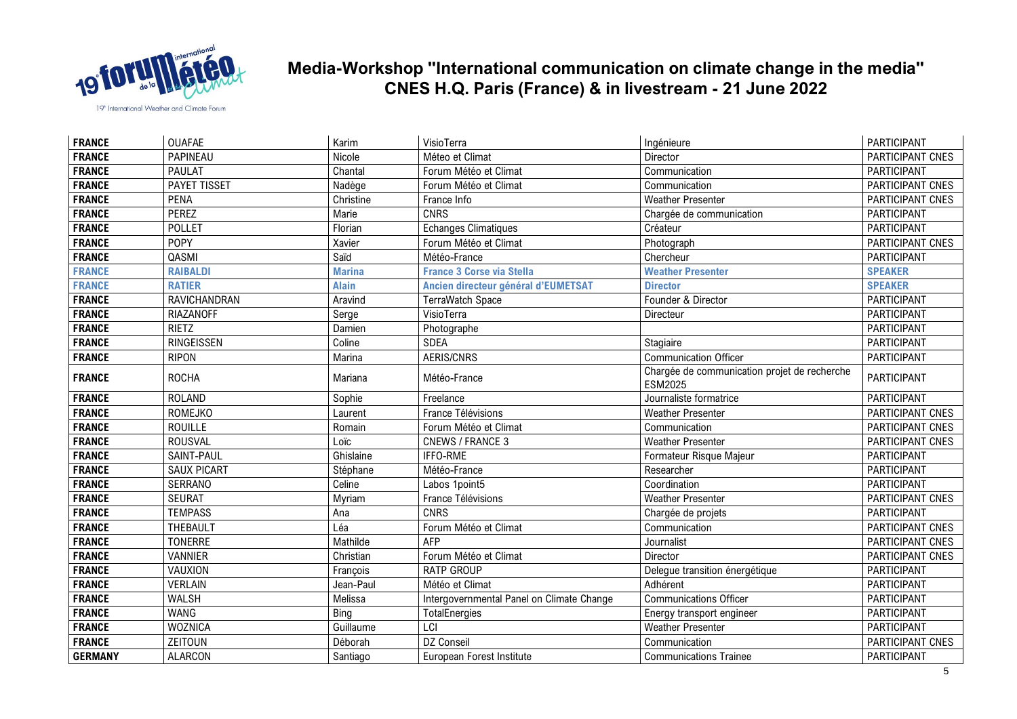

| <b>FRANCE</b>  | <b>OUAFAE</b>       | Karim         | VisioTerra                                | Ingénieure                                                     | PARTICIPANT        |
|----------------|---------------------|---------------|-------------------------------------------|----------------------------------------------------------------|--------------------|
| <b>FRANCE</b>  | PAPINEAU            | Nicole        | Méteo et Climat                           | Director                                                       | PARTICIPANT CNES   |
| <b>FRANCE</b>  | <b>PAULAT</b>       | Chantal       | Forum Météo et Climat                     | Communication                                                  | PARTICIPANT        |
| <b>FRANCE</b>  | <b>PAYET TISSET</b> | Nadège        | Forum Météo et Climat                     | Communication                                                  | PARTICIPANT CNES   |
| <b>FRANCE</b>  | <b>PENA</b>         | Christine     | France Info                               | <b>Weather Presenter</b>                                       | PARTICIPANT CNES   |
| <b>FRANCE</b>  | PEREZ               | Marie         | <b>CNRS</b>                               | Chargée de communication                                       | PARTICIPANT        |
| <b>FRANCE</b>  | <b>POLLET</b>       | Florian       | <b>Echanges Climatiques</b>               | Créateur                                                       | PARTICIPANT        |
| <b>FRANCE</b>  | <b>POPY</b>         | Xavier        | Forum Météo et Climat                     | Photograph                                                     | PARTICIPANT CNES   |
| <b>FRANCE</b>  | QASMI               | Saïd          | Météo-France                              | Chercheur                                                      | PARTICIPANT        |
| <b>FRANCE</b>  | <b>RAIBALDI</b>     | <b>Marina</b> | <b>France 3 Corse via Stella</b>          | <b>Weather Presenter</b>                                       | <b>SPEAKER</b>     |
| <b>FRANCE</b>  | <b>RATIER</b>       | <b>Alain</b>  | Ancien directeur général d'EUMETSAT       | <b>Director</b>                                                | <b>SPEAKER</b>     |
| <b>FRANCE</b>  | RAVICHANDRAN        | Aravind       | <b>TerraWatch Space</b>                   | Founder & Director                                             | PARTICIPANT        |
| <b>FRANCE</b>  | <b>RIAZANOFF</b>    | Serge         | VisioTerra                                | Directeur                                                      | PARTICIPANT        |
| <b>FRANCE</b>  | <b>RIETZ</b>        | Damien        | Photographe                               |                                                                | PARTICIPANT        |
| <b>FRANCE</b>  | <b>RINGEISSEN</b>   | Coline        | <b>SDEA</b>                               | Stagiaire                                                      | PARTICIPANT        |
| <b>FRANCE</b>  | <b>RIPON</b>        | Marina        | AERIS/CNRS                                | <b>Communication Officer</b>                                   | PARTICIPANT        |
| <b>FRANCE</b>  | <b>ROCHA</b>        | Mariana       | Météo-France                              | Chargée de communication projet de recherche<br><b>ESM2025</b> | PARTICIPANT        |
| <b>FRANCE</b>  | <b>ROLAND</b>       | Sophie        | Freelance                                 | Journaliste formatrice                                         | PARTICIPANT        |
| <b>FRANCE</b>  | <b>ROMEJKO</b>      | Laurent       | France Télévisions                        | <b>Weather Presenter</b>                                       | PARTICIPANT CNES   |
| <b>FRANCE</b>  | ROUILLE             | Romain        | Forum Météo et Climat                     | Communication                                                  | PARTICIPANT CNES   |
| <b>FRANCE</b>  | <b>ROUSVAL</b>      | Loïc          | <b>CNEWS / FRANCE 3</b>                   | <b>Weather Presenter</b>                                       | PARTICIPANT CNES   |
| <b>FRANCE</b>  | SAINT-PAUL          | Ghislaine     | IFFO-RME                                  | Formateur Risque Majeur                                        | PARTICIPANT        |
| <b>FRANCE</b>  | <b>SAUX PICART</b>  | Stéphane      | Météo-France                              | Researcher                                                     | PARTICIPANT        |
| <b>FRANCE</b>  | <b>SERRANO</b>      | Celine        | Labos 1point5                             | Coordination                                                   | PARTICIPANT        |
| <b>FRANCE</b>  | <b>SEURAT</b>       | Myriam        | France Télévisions                        | <b>Weather Presenter</b>                                       | PARTICIPANT CNES   |
| <b>FRANCE</b>  | <b>TEMPASS</b>      | Ana           | <b>CNRS</b>                               | Chargée de projets                                             | PARTICIPANT        |
| <b>FRANCE</b>  | THEBAULT            | Léa           | Forum Météo et Climat                     | Communication                                                  | PARTICIPANT CNES   |
| <b>FRANCE</b>  | <b>TONERRE</b>      | Mathilde      | <b>AFP</b>                                | Journalist                                                     | PARTICIPANT CNES   |
| <b>FRANCE</b>  | <b>VANNIER</b>      | Christian     | Forum Météo et Climat                     | <b>Director</b>                                                | PARTICIPANT CNES   |
| <b>FRANCE</b>  | VAUXION             | François      | <b>RATP GROUP</b>                         | Delegue transition énergétique                                 | <b>PARTICIPANT</b> |
| <b>FRANCE</b>  | <b>VERLAIN</b>      | Jean-Paul     | Météo et Climat                           | Adhérent                                                       | PARTICIPANT        |
| <b>FRANCE</b>  | <b>WALSH</b>        | Melissa       | Intergovernmental Panel on Climate Change | <b>Communications Officer</b>                                  | PARTICIPANT        |
| <b>FRANCE</b>  | <b>WANG</b>         | Bing          | TotalEnergies                             | Energy transport engineer                                      | PARTICIPANT        |
| <b>FRANCE</b>  | <b>WOZNICA</b>      | Guillaume     | LCI                                       | <b>Weather Presenter</b>                                       | PARTICIPANT        |
| <b>FRANCE</b>  | ZEITOUN             | Déborah       | DZ Conseil                                | Communication                                                  | PARTICIPANT CNES   |
| <b>GERMANY</b> | <b>ALARCON</b>      | Santiago      | European Forest Institute                 | <b>Communications Trainee</b>                                  | PARTICIPANT        |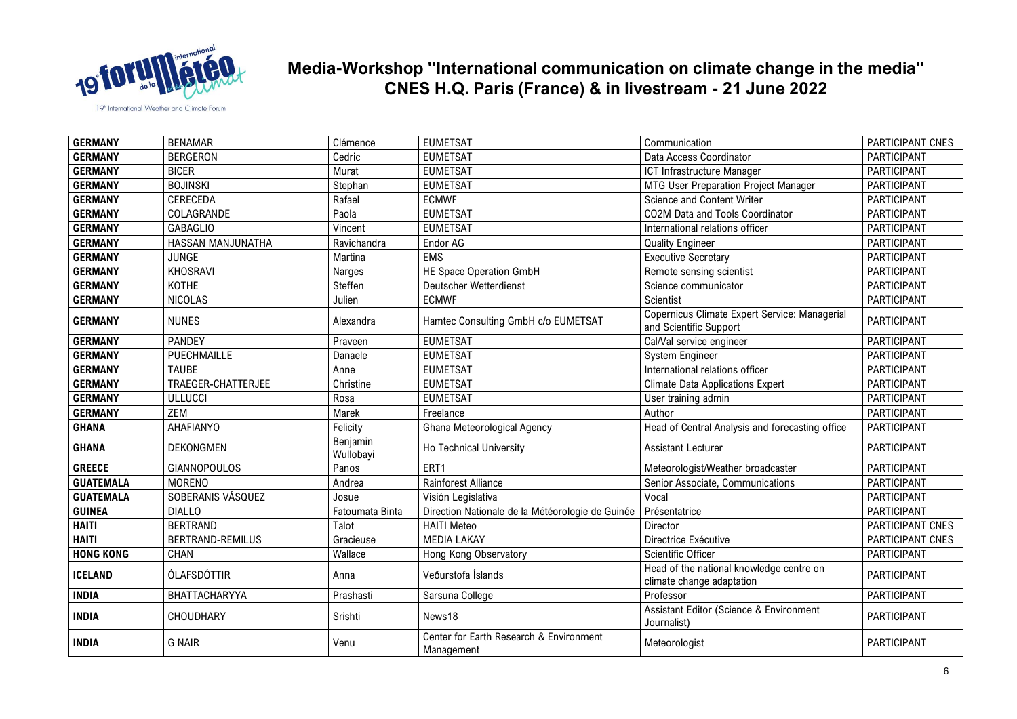

| <b>GERMANY</b>   | <b>BENAMAR</b>      | Clémence              | <b>EUMETSAT</b>                                       | Communication                                                           | PARTICIPANT CNES   |
|------------------|---------------------|-----------------------|-------------------------------------------------------|-------------------------------------------------------------------------|--------------------|
| <b>GERMANY</b>   | <b>BERGERON</b>     | Cedric                | <b>EUMETSAT</b>                                       | Data Access Coordinator                                                 | <b>PARTICIPANT</b> |
| <b>GERMANY</b>   | <b>BICER</b>        | Murat                 | <b>EUMETSAT</b>                                       | ICT Infrastructure Manager                                              | PARTICIPANT        |
| <b>GERMANY</b>   | <b>BOJINSKI</b>     | Stephan               | <b>EUMETSAT</b>                                       | MTG User Preparation Project Manager                                    | <b>PARTICIPANT</b> |
| <b>GERMANY</b>   | CERECEDA            | Rafael                | <b>ECMWF</b>                                          | Science and Content Writer                                              | PARTICIPANT        |
| <b>GERMANY</b>   | COLAGRANDE          | Paola                 | <b>EUMETSAT</b>                                       | CO2M Data and Tools Coordinator                                         | PARTICIPANT        |
| <b>GERMANY</b>   | <b>GABAGLIO</b>     | Vincent               | <b>EUMETSAT</b>                                       | International relations officer                                         | PARTICIPANT        |
| <b>GERMANY</b>   | HASSAN MANJUNATHA   | Ravichandra           | Endor AG                                              | <b>Quality Engineer</b>                                                 | <b>PARTICIPANT</b> |
| <b>GERMANY</b>   | JUNGE               | Martina               | <b>EMS</b>                                            | <b>Executive Secretary</b>                                              | PARTICIPANT        |
| <b>GERMANY</b>   | KHOSRAVI            | Narges                | HE Space Operation GmbH                               | Remote sensing scientist                                                | <b>PARTICIPANT</b> |
| <b>GERMANY</b>   | <b>KOTHE</b>        | Steffen               | Deutscher Wetterdienst                                | Science communicator                                                    | PARTICIPANT        |
| <b>GERMANY</b>   | <b>NICOLAS</b>      | Julien                | <b>ECMWF</b>                                          | Scientist                                                               | PARTICIPANT        |
| <b>GERMANY</b>   | <b>NUNES</b>        | Alexandra             | Hamtec Consulting GmbH c/o EUMETSAT                   | Copernicus Climate Expert Service: Managerial<br>and Scientific Support | PARTICIPANT        |
| <b>GERMANY</b>   | <b>PANDEY</b>       | Praveen               | <b>EUMETSAT</b>                                       | Cal/Val service engineer                                                | PARTICIPANT        |
| <b>GERMANY</b>   | PUECHMAILLE         | Danaele               | <b>EUMETSAT</b>                                       | System Engineer                                                         | <b>PARTICIPANT</b> |
| <b>GERMANY</b>   | <b>TAUBE</b>        | Anne                  | <b>EUMETSAT</b>                                       | International relations officer                                         | PARTICIPANT        |
| <b>GERMANY</b>   | TRAEGER-CHATTERJEE  | Christine             | <b>EUMETSAT</b>                                       | <b>Climate Data Applications Expert</b>                                 | PARTICIPANT        |
| <b>GERMANY</b>   | <b>ULLUCCI</b>      | Rosa                  | <b>EUMETSAT</b>                                       | User training admin                                                     | PARTICIPANT        |
| <b>GERMANY</b>   | <b>ZEM</b>          | Marek                 | Freelance                                             | Author                                                                  | <b>PARTICIPANT</b> |
| <b>GHANA</b>     | AHAFIANYO           | Felicity              | Ghana Meteorological Agency                           | Head of Central Analysis and forecasting office                         | PARTICIPANT        |
| <b>GHANA</b>     | <b>DEKONGMEN</b>    | Benjamin<br>Wullobayi | Ho Technical University                               | <b>Assistant Lecturer</b>                                               | PARTICIPANT        |
| <b>GREECE</b>    | <b>GIANNOPOULOS</b> | Panos                 | ERT1                                                  | Meteorologist/Weather broadcaster                                       | PARTICIPANT        |
| <b>GUATEMALA</b> | <b>MORENO</b>       | Andrea                | Rainforest Alliance                                   | Senior Associate, Communications                                        | PARTICIPANT        |
| <b>GUATEMALA</b> | SOBERANIS VÁSQUEZ   | Josue                 | Visión Legislativa                                    | Vocal                                                                   | PARTICIPANT        |
| <b>GUINEA</b>    | <b>DIALLO</b>       | Fatoumata Binta       | Direction Nationale de la Météorologie de Guinée      | Présentatrice                                                           | PARTICIPANT        |
| <b>HAITI</b>     | <b>BERTRAND</b>     | Talot                 | <b>HAITI Meteo</b>                                    | Director                                                                | PARTICIPANT CNES   |
| <b>HAITI</b>     | BERTRAND-REMILUS    | Gracieuse             | <b>MEDIA LAKAY</b>                                    | Directrice Exécutive                                                    | PARTICIPANT CNES   |
| <b>HONG KONG</b> | CHAN                | Wallace               | Hong Kong Observatory                                 | Scientific Officer                                                      | PARTICIPANT        |
| <b>ICELAND</b>   | ÓLAFSDÓTTIR         | Anna                  | Veðurstofa Íslands                                    | Head of the national knowledge centre on<br>climate change adaptation   | PARTICIPANT        |
| <b>INDIA</b>     | BHATTACHARYYA       | Prashasti             | Sarsuna College                                       | Professor                                                               | PARTICIPANT        |
| <b>INDIA</b>     | CHOUDHARY           | Srishti               | News18                                                | Assistant Editor (Science & Environment<br>Journalist)                  | PARTICIPANT        |
| <b>INDIA</b>     | <b>G NAIR</b>       | Venu                  | Center for Earth Research & Environment<br>Management | Meteorologist                                                           | PARTICIPANT        |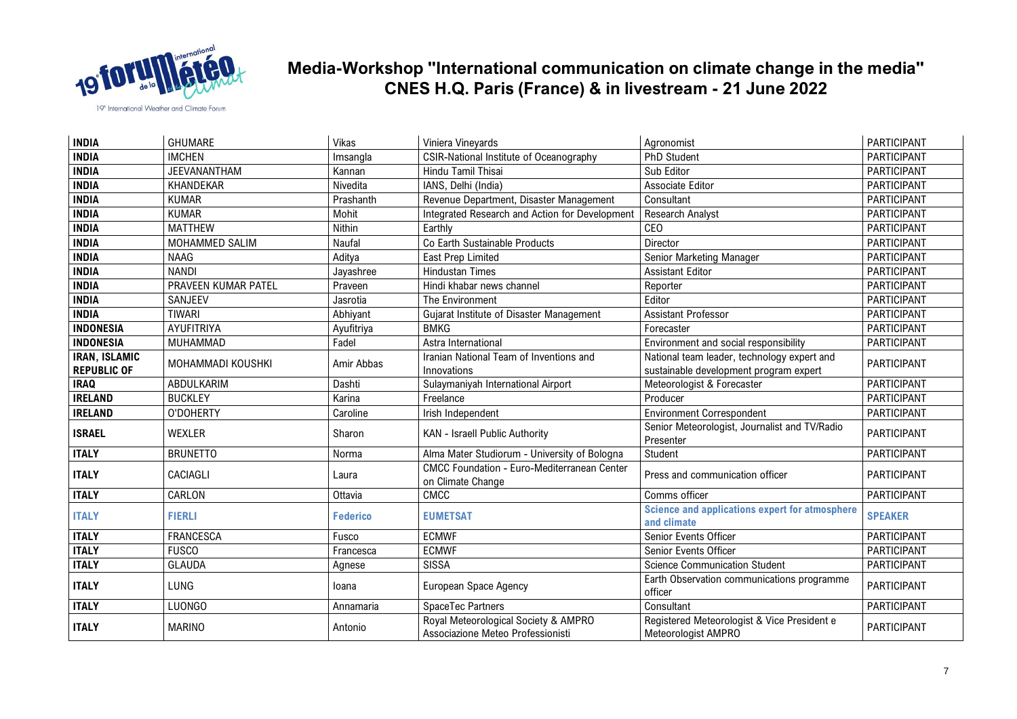

| <b>INDIA</b>                               | GHUMARE             | Vikas           | Viniera Vineyards                                                         | Agronomist                                                                            | PARTICIPANT        |
|--------------------------------------------|---------------------|-----------------|---------------------------------------------------------------------------|---------------------------------------------------------------------------------------|--------------------|
| <b>INDIA</b>                               | <b>IMCHEN</b>       | Imsangla        | <b>CSIR-National Institute of Oceanography</b>                            | PhD Student                                                                           | <b>PARTICIPANT</b> |
| <b>INDIA</b>                               | JEEVANANTHAM        | Kannan          | Hindu Tamil Thisai                                                        | Sub Editor                                                                            | PARTICIPANT        |
| <b>INDIA</b>                               | KHANDEKAR           | Nivedita        | IANS, Delhi (India)                                                       | Associate Editor                                                                      | PARTICIPANT        |
| <b>INDIA</b>                               | <b>KUMAR</b>        | Prashanth       | Revenue Department, Disaster Management                                   | Consultant                                                                            | PARTICIPANT        |
| <b>INDIA</b>                               | <b>KUMAR</b>        | Mohit           | Integrated Research and Action for Development                            | Research Analyst                                                                      | PARTICIPANT        |
| <b>INDIA</b>                               | <b>MATTHEW</b>      | Nithin          | Earthly                                                                   | <b>CEO</b>                                                                            | PARTICIPANT        |
| <b>INDIA</b>                               | MOHAMMED SALIM      | Naufal          | Co Earth Sustainable Products                                             | Director                                                                              | PARTICIPANT        |
| <b>INDIA</b>                               | <b>NAAG</b>         | Aditya          | East Prep Limited                                                         | Senior Marketing Manager                                                              | PARTICIPANT        |
| <b>INDIA</b>                               | <b>NANDI</b>        | Jayashree       | <b>Hindustan Times</b>                                                    | <b>Assistant Editor</b>                                                               | PARTICIPANT        |
| <b>INDIA</b>                               | PRAVEEN KUMAR PATEL | Praveen         | Hindi khabar news channel                                                 | Reporter                                                                              | PARTICIPANT        |
| <b>INDIA</b>                               | SANJEEV             | Jasrotia        | The Environment                                                           | Editor                                                                                | PARTICIPANT        |
| <b>INDIA</b>                               | <b>TIWARI</b>       | Abhiyant        | Gujarat Institute of Disaster Management                                  | <b>Assistant Professor</b>                                                            | PARTICIPANT        |
| <b>INDONESIA</b>                           | AYUFITRIYA          | Ayufitriya      | <b>BMKG</b>                                                               | Forecaster                                                                            | PARTICIPANT        |
| <b>INDONESIA</b>                           | MUHAMMAD            | Fadel           | Astra International                                                       | Environment and social responsibility                                                 | PARTICIPANT        |
| <b>IRAN, ISLAMIC</b><br><b>REPUBLIC OF</b> | MOHAMMADI KOUSHKI   | Amir Abbas      | Iranian National Team of Inventions and<br>Innovations                    | National team leader, technology expert and<br>sustainable development program expert | PARTICIPANT        |
| <b>IRAQ</b>                                | ABDULKARIM          | Dashti          | Sulaymaniyah International Airport                                        | Meteorologist & Forecaster                                                            | PARTICIPANT        |
| <b>IRELAND</b>                             | <b>BUCKLEY</b>      | Karina          | Freelance                                                                 | Producer                                                                              | PARTICIPANT        |
| <b>IRELAND</b>                             | O'DOHERTY           | Caroline        | Irish Independent                                                         | <b>Environment Correspondent</b>                                                      | PARTICIPANT        |
| <b>ISRAEL</b>                              | <b>WEXLER</b>       | Sharon          | KAN - Israell Public Authority                                            | Senior Meteorologist, Journalist and TV/Radio<br>Presenter                            | <b>PARTICIPANT</b> |
| <b>ITALY</b>                               | <b>BRUNETTO</b>     | Norma           | Alma Mater Studiorum - University of Bologna                              | Student                                                                               | PARTICIPANT        |
| <b>ITALY</b>                               | <b>CACIAGLI</b>     | Laura           | <b>CMCC Foundation - Euro-Mediterranean Center</b><br>on Climate Change   | Press and communication officer                                                       | <b>PARTICIPANT</b> |
| <b>ITALY</b>                               | CARLON              | Ottavia         | CMCC                                                                      | Comms officer                                                                         | PARTICIPANT        |
| <b>ITALY</b>                               | <b>FIERLI</b>       | <b>Federico</b> | <b>EUMETSAT</b>                                                           | <b>Science and applications expert for atmosphere</b><br>and climate                  | <b>SPEAKER</b>     |
| <b>ITALY</b>                               | <b>FRANCESCA</b>    | Fusco           | <b>ECMWF</b>                                                              | Senior Events Officer                                                                 | PARTICIPANT        |
| <b>ITALY</b>                               | <b>FUSCO</b>        | Francesca       | <b>ECMWF</b>                                                              | Senior Events Officer                                                                 | PARTICIPANT        |
| <b>ITALY</b>                               | <b>GLAUDA</b>       | Agnese          | <b>SISSA</b>                                                              | <b>Science Communication Student</b>                                                  | PARTICIPANT        |
| <b>ITALY</b>                               | <b>LUNG</b>         | loana           | European Space Agency                                                     | Earth Observation communications programme<br>officer                                 | PARTICIPANT        |
| <b>ITALY</b>                               | <b>LUONGO</b>       | Annamaria       | SpaceTec Partners                                                         | Consultant                                                                            | PARTICIPANT        |
| <b>ITALY</b>                               | <b>MARINO</b>       | Antonio         | Royal Meteorological Society & AMPRO<br>Associazione Meteo Professionisti | Registered Meteorologist & Vice President e<br>Meteorologist AMPRO                    | PARTICIPANT        |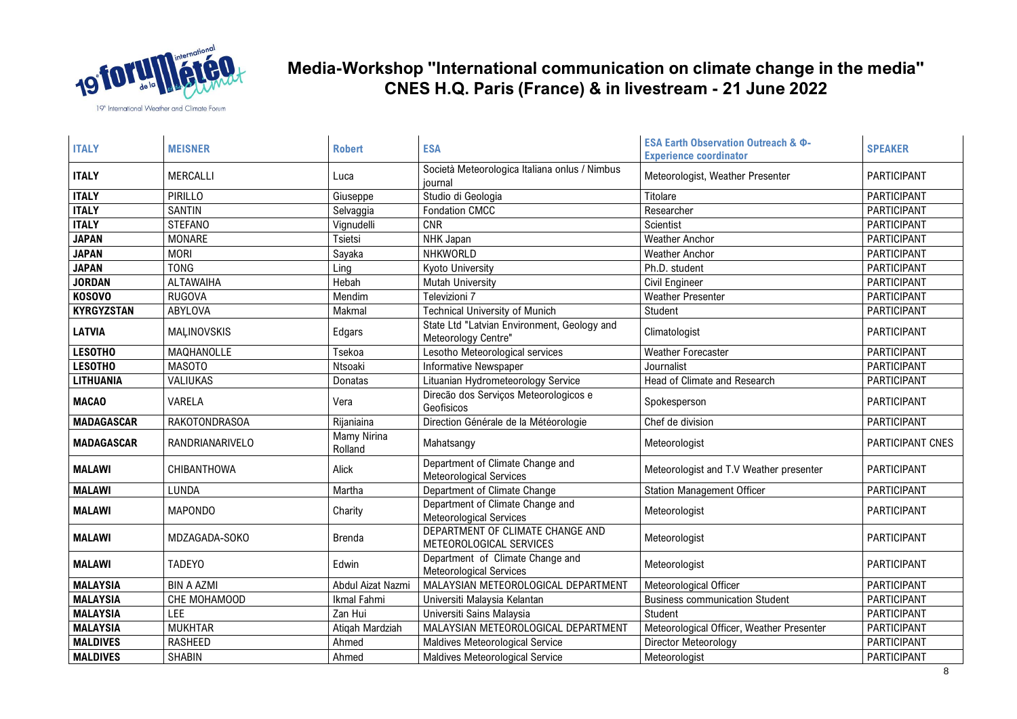

| <b>ITALY</b>      | <b>MEISNER</b>       | <b>Robert</b>          | <b>ESA</b>                                                         | ESA Earth Observation Outreach & Ф-<br><b>Experience coordinator</b> | <b>SPEAKER</b>     |
|-------------------|----------------------|------------------------|--------------------------------------------------------------------|----------------------------------------------------------------------|--------------------|
| <b>ITALY</b>      | <b>MERCALLI</b>      | Luca                   | Società Meteorologica Italiana onlus / Nimbus<br>iournal           | Meteorologist, Weather Presenter                                     | <b>PARTICIPANT</b> |
| <b>ITALY</b>      | PIRILLO              | Giuseppe               | Studio di Geologia                                                 | Titolare                                                             | <b>PARTICIPANT</b> |
| <b>ITALY</b>      | <b>SANTIN</b>        | Selvaggia              | <b>Fondation CMCC</b>                                              | Researcher                                                           | PARTICIPANT        |
| <b>ITALY</b>      | <b>STEFANO</b>       | Vignudelli             | <b>CNR</b>                                                         | Scientist                                                            | PARTICIPANT        |
| <b>JAPAN</b>      | <b>MONARE</b>        | Tsietsi                | NHK Japan                                                          | <b>Weather Anchor</b>                                                | PARTICIPANT        |
| <b>JAPAN</b>      | <b>MORI</b>          | Sayaka                 | NHKWORLD                                                           | <b>Weather Anchor</b>                                                | PARTICIPANT        |
| <b>JAPAN</b>      | <b>TONG</b>          | Ling                   | <b>Kyoto University</b>                                            | Ph.D. student                                                        | PARTICIPANT        |
| <b>JORDAN</b>     | <b>ALTAWAIHA</b>     | Hebah                  | <b>Mutah University</b>                                            | <b>Civil Engineer</b>                                                | PARTICIPANT        |
| <b>KOSOVO</b>     | <b>RUGOVA</b>        | Mendim                 | Televizioni 7                                                      | <b>Weather Presenter</b>                                             | PARTICIPANT        |
| <b>KYRGYZSTAN</b> | ABYLOVA              | Makmal                 | <b>Technical University of Munich</b>                              | Student                                                              | PARTICIPANT        |
| <b>LATVIA</b>     | MAĻINOVSKIS          | Edgars                 | State Ltd "Latvian Environment, Geology and<br>Meteorology Centre" | Climatologist                                                        | PARTICIPANT        |
| <b>LESOTHO</b>    | MAQHANOLLE           | Tsekoa                 | Lesotho Meteorological services                                    | Weather Forecaster                                                   | PARTICIPANT        |
| <b>LESOTHO</b>    | <b>MASOTO</b>        | Ntsoaki                | <b>Informative Newspaper</b>                                       | Journalist                                                           | PARTICIPANT        |
| <b>LITHUANIA</b>  | VALIUKAS             | Donatas                | Lituanian Hydrometeorology Service                                 | Head of Climate and Research                                         | PARTICIPANT        |
| <b>MACAO</b>      | VARELA               | Vera                   | Direcão dos Serviços Meteorologicos e<br>Geofisicos                | Spokesperson                                                         | PARTICIPANT        |
| <b>MADAGASCAR</b> | <b>RAKOTONDRASOA</b> | Rijaniaina             | Direction Générale de la Météorologie                              | Chef de division                                                     | PARTICIPANT        |
| <b>MADAGASCAR</b> | RANDRIANARIVELO      | Mamy Nirina<br>Rolland | Mahatsangy                                                         | Meteorologist                                                        | PARTICIPANT CNES   |
| <b>MALAWI</b>     | CHIBANTHOWA          | Alick                  | Department of Climate Change and<br><b>Meteorological Services</b> | Meteorologist and T.V Weather presenter                              | PARTICIPANT        |
| <b>MALAWI</b>     | LUNDA                | Martha                 | Department of Climate Change                                       | <b>Station Management Officer</b>                                    | PARTICIPANT        |
| <b>MALAWI</b>     | <b>MAPONDO</b>       | Charity                | Department of Climate Change and<br><b>Meteorological Services</b> | Meteorologist                                                        | <b>PARTICIPANT</b> |
| <b>MALAWI</b>     | MDZAGADA-SOKO        | Brenda                 | DEPARTMENT OF CLIMATE CHANGE AND<br>METEOROLOGICAL SERVICES        | Meteorologist                                                        | PARTICIPANT        |
| <b>MALAWI</b>     | <b>TADEYO</b>        | Edwin                  | Department of Climate Change and<br><b>Meteorological Services</b> | Meteorologist                                                        | PARTICIPANT        |
| <b>MALAYSIA</b>   | <b>BIN A AZMI</b>    | Abdul Aizat Nazmi      | MALAYSIAN METEOROLOGICAL DEPARTMENT                                | Meteorological Officer                                               | PARTICIPANT        |
| <b>MALAYSIA</b>   | CHE MOHAMOOD         | Ikmal Fahmi            | Universiti Malaysia Kelantan                                       | <b>Business communication Student</b>                                | <b>PARTICIPANT</b> |
| <b>MALAYSIA</b>   | LEE                  | Zan Hui                | Universiti Sains Malaysia                                          | Student                                                              | PARTICIPANT        |
| <b>MALAYSIA</b>   | <b>MUKHTAR</b>       | Atigah Mardziah        | MALAYSIAN METEOROLOGICAL DEPARTMENT                                | Meteorological Officer, Weather Presenter                            | <b>PARTICIPANT</b> |
| <b>MALDIVES</b>   | <b>RASHEED</b>       | Ahmed                  | Maldives Meteorological Service                                    | Director Meteorology                                                 | <b>PARTICIPANT</b> |
| <b>MALDIVES</b>   | <b>SHABIN</b>        | Ahmed                  | Maldives Meteorological Service                                    | Meteorologist                                                        | PARTICIPANT        |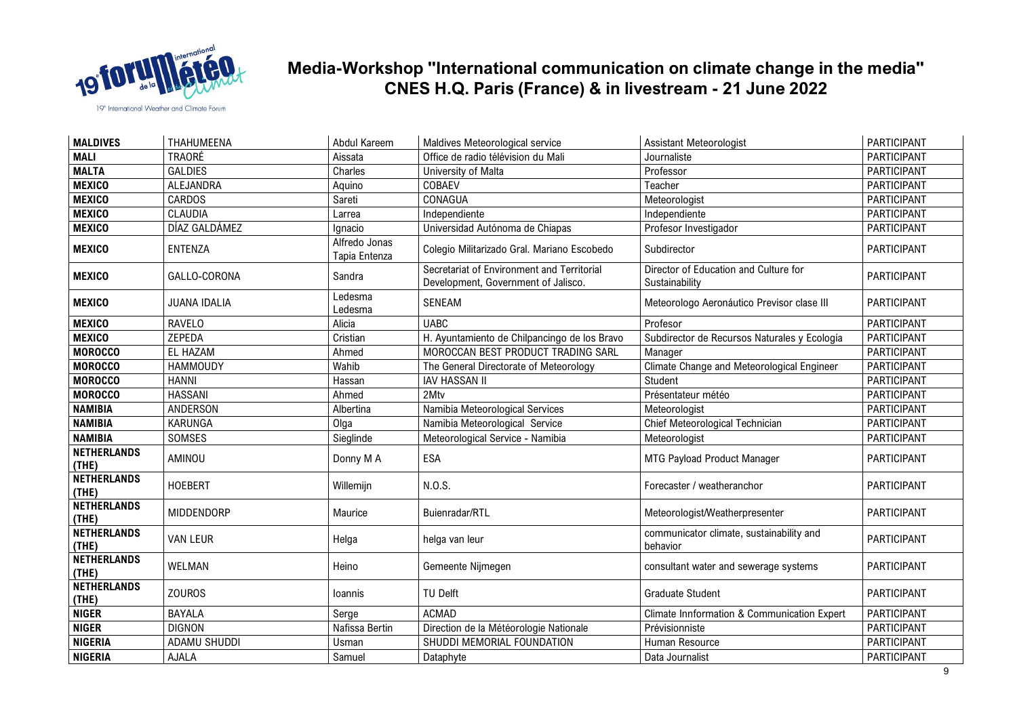

| <b>MALDIVES</b>             | THAHUMEENA          | Abdul Kareem                   | Maldives Meteorological service                                                   | <b>Assistant Meteorologist</b>                          | PARTICIPANT        |
|-----------------------------|---------------------|--------------------------------|-----------------------------------------------------------------------------------|---------------------------------------------------------|--------------------|
| <b>MALI</b>                 | <b>TRAORÉ</b>       | Aissata                        | Office de radio télévision du Mali                                                | Journaliste                                             | PARTICIPANT        |
| <b>MALTA</b>                | <b>GALDIES</b>      | Charles                        | University of Malta                                                               | Professor                                               | PARTICIPANT        |
| <b>MEXICO</b>               | ALEJANDRA           | Aquino                         | COBAEV                                                                            | Teacher                                                 | PARTICIPANT        |
| <b>MEXICO</b>               | <b>CARDOS</b>       | Sareti                         | CONAGUA                                                                           | Meteorologist                                           | PARTICIPANT        |
| <b>MEXICO</b>               | <b>CLAUDIA</b>      | Larrea                         | Independiente                                                                     | Independiente                                           | <b>PARTICIPANT</b> |
| <b>MEXICO</b>               | DÍAZ GALDÁMEZ       | Ignacio                        | Universidad Autónoma de Chiapas                                                   | Profesor Investigador                                   | PARTICIPANT        |
| <b>MEXICO</b>               | ENTENZA             | Alfredo Jonas<br>Tapia Entenza | Colegio Militarizado Gral. Mariano Escobedo                                       | Subdirector                                             | PARTICIPANT        |
| <b>MEXICO</b>               | GALLO-CORONA        | Sandra                         | Secretariat of Environment and Territorial<br>Development, Government of Jalisco. | Director of Education and Culture for<br>Sustainability | <b>PARTICIPANT</b> |
| <b>MEXICO</b>               | <b>JUANA IDALIA</b> | Ledesma<br>Ledesma             | SENEAM                                                                            | Meteorologo Aeronáutico Previsor clase III              | <b>PARTICIPANT</b> |
| <b>MEXICO</b>               | <b>RAVELO</b>       | Alicia                         | <b>UABC</b>                                                                       | Profesor                                                | PARTICIPANT        |
| <b>MEXICO</b>               | <b>ZEPEDA</b>       | Cristian                       | H. Ayuntamiento de Chilpancingo de los Bravo                                      | Subdirector de Recursos Naturales y Ecología            | <b>PARTICIPANT</b> |
| <b>MOROCCO</b>              | <b>EL HAZAM</b>     | Ahmed                          | MOROCCAN BEST PRODUCT TRADING SARL                                                | Manager                                                 | PARTICIPANT        |
| <b>MOROCCO</b>              | <b>HAMMOUDY</b>     | Wahib                          | The General Directorate of Meteorology                                            | Climate Change and Meteorological Engineer              | <b>PARTICIPANT</b> |
| <b>MOROCCO</b>              | <b>HANNI</b>        | Hassan                         | <b>IAV HASSAN II</b>                                                              | Student                                                 | <b>PARTICIPANT</b> |
| <b>MOROCCO</b>              | <b>HASSANI</b>      | Ahmed                          | 2Mtv                                                                              | Présentateur météo                                      | <b>PARTICIPANT</b> |
| <b>NAMIBIA</b>              | ANDERSON            | Albertina                      | Namibia Meteorological Services                                                   | Meteorologist                                           | PARTICIPANT        |
| <b>NAMIBIA</b>              | <b>KARUNGA</b>      | Olga                           | Namibia Meteorological Service                                                    | Chief Meteorological Technician                         | PARTICIPANT        |
| <b>NAMIBIA</b>              | SOMSES              | Sieglinde                      | Meteorological Service - Namibia                                                  | Meteorologist                                           | PARTICIPANT        |
| <b>NETHERLANDS</b><br>(THE) | AMINOU              | Donny M A                      | ESA                                                                               | MTG Payload Product Manager                             | PARTICIPANT        |
| <b>NETHERLANDS</b><br>(THE) | <b>HOEBERT</b>      | Willemijn                      | N.O.S.                                                                            | Forecaster / weatheranchor                              | PARTICIPANT        |
| <b>NETHERLANDS</b><br>(THE) | MIDDENDORP          | Maurice                        | Buienradar/RTL                                                                    | Meteorologist/Weatherpresenter                          | <b>PARTICIPANT</b> |
| <b>NETHERLANDS</b><br>(THE) | <b>VAN LEUR</b>     | Helga                          | helga van leur                                                                    | communicator climate, sustainability and<br>behavior    | PARTICIPANT        |
| <b>NETHERLANDS</b><br>(THE) | WELMAN              | Heino                          | Gemeente Nijmegen                                                                 | consultant water and sewerage systems                   | PARTICIPANT        |
| <b>NETHERLANDS</b><br>(THE) | <b>ZOUROS</b>       | <b>Ioannis</b>                 | <b>TU Delft</b>                                                                   | <b>Graduate Student</b>                                 | PARTICIPANT        |
| <b>NIGER</b>                | <b>BAYALA</b>       | Serge                          | <b>ACMAD</b>                                                                      | Climate Innformation & Communication Expert             | <b>PARTICIPANT</b> |
| <b>NIGER</b>                | <b>DIGNON</b>       | Nafissa Bertin                 | Direction de la Météorologie Nationale                                            | Prévisionniste                                          | <b>PARTICIPANT</b> |
| <b>NIGERIA</b>              | ADAMU SHUDDI        | Usman                          | SHUDDI MEMORIAL FOUNDATION                                                        | Human Resource                                          | <b>PARTICIPANT</b> |
| <b>NIGERIA</b>              | AJALA               | Samuel                         | Dataphyte                                                                         | Data Journalist                                         | <b>PARTICIPANT</b> |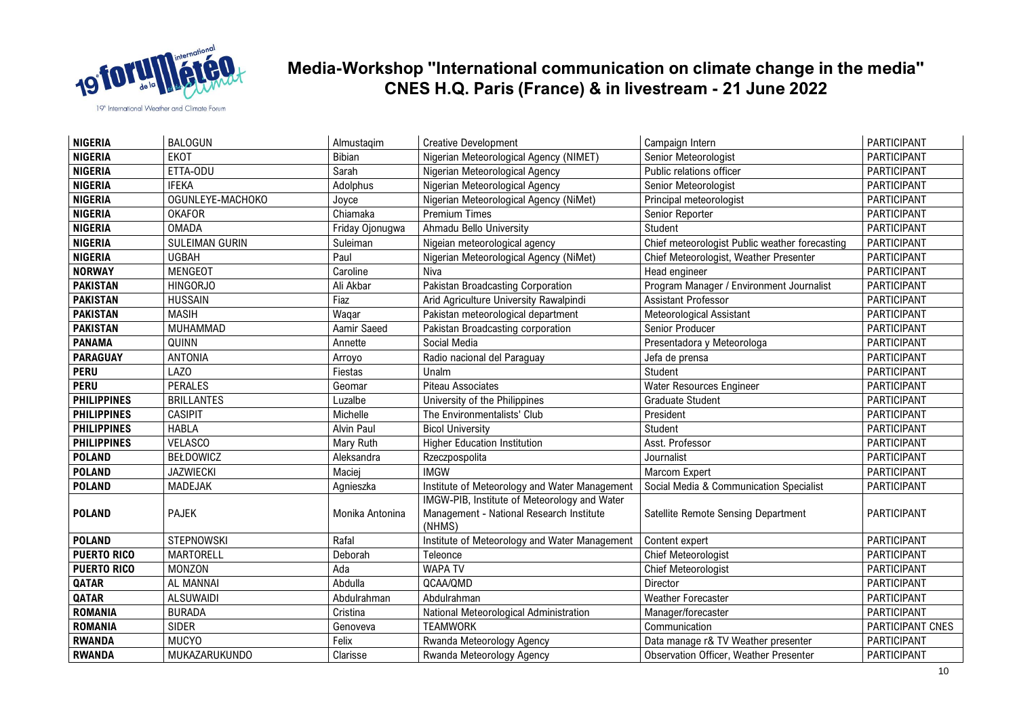

| <b>NIGERIA</b>     | <b>BALOGUN</b>        | Almustagim      | <b>Creative Development</b>                                                                        | Campaign Intern                                | PARTICIPANT        |
|--------------------|-----------------------|-----------------|----------------------------------------------------------------------------------------------------|------------------------------------------------|--------------------|
| <b>NIGERIA</b>     | <b>EKOT</b>           | Bibian          | Nigerian Meteorological Agency (NIMET)                                                             | Senior Meteorologist                           | PARTICIPANT        |
| <b>NIGERIA</b>     | ETTA-ODU              | Sarah           | Nigerian Meteorological Agency                                                                     | Public relations officer                       | <b>PARTICIPANT</b> |
| <b>NIGERIA</b>     | <b>IFEKA</b>          | Adolphus        | Nigerian Meteorological Agency                                                                     | Senior Meteorologist                           | PARTICIPANT        |
| <b>NIGERIA</b>     | OGUNLEYE-MACHOKO      | Joyce           | Nigerian Meteorological Agency (NiMet)                                                             | Principal meteorologist                        | PARTICIPANT        |
| <b>NIGERIA</b>     | <b>OKAFOR</b>         | Chiamaka        | <b>Premium Times</b>                                                                               | Senior Reporter                                | PARTICIPANT        |
| <b>NIGERIA</b>     | <b>OMADA</b>          | Friday Ojonugwa | Ahmadu Bello University                                                                            | <b>Student</b>                                 | PARTICIPANT        |
| <b>NIGERIA</b>     | <b>SULEIMAN GURIN</b> | Suleiman        | Nigeian meteorological agency                                                                      | Chief meteorologist Public weather forecasting | PARTICIPANT        |
| <b>NIGERIA</b>     | <b>UGBAH</b>          | Paul            | Nigerian Meteorological Agency (NiMet)                                                             | Chief Meteorologist, Weather Presenter         | PARTICIPANT        |
| <b>NORWAY</b>      | <b>MENGEOT</b>        | Caroline        | Niva                                                                                               | Head engineer                                  | PARTICIPANT        |
| <b>PAKISTAN</b>    | <b>HINGORJO</b>       | Ali Akbar       | Pakistan Broadcasting Corporation                                                                  | Program Manager / Environment Journalist       | PARTICIPANT        |
| <b>PAKISTAN</b>    | <b>HUSSAIN</b>        | Fiaz            | Arid Agriculture University Rawalpindi                                                             | Assistant Professor                            | PARTICIPANT        |
| <b>PAKISTAN</b>    | <b>MASIH</b>          | Wagar           | Pakistan meteorological department                                                                 | <b>Meteorological Assistant</b>                | PARTICIPANT        |
| <b>PAKISTAN</b>    | MUHAMMAD              | Aamir Saeed     | Pakistan Broadcasting corporation                                                                  | Senior Producer                                | PARTICIPANT        |
| <b>PANAMA</b>      | QUINN                 | Annette         | Social Media                                                                                       | Presentadora y Meteorologa                     | <b>PARTICIPANT</b> |
| <b>PARAGUAY</b>    | <b>ANTONIA</b>        | Arroyo          | Radio nacional del Paraguay                                                                        | Jefa de prensa                                 | PARTICIPANT        |
| <b>PERU</b>        | LAZ <sub>0</sub>      | Fiestas         | Unalm                                                                                              | <b>Student</b>                                 | PARTICIPANT        |
| <b>PERU</b>        | <b>PERALES</b>        | Geomar          | <b>Piteau Associates</b>                                                                           | Water Resources Engineer                       | PARTICIPANT        |
| <b>PHILIPPINES</b> | <b>BRILLANTES</b>     | Luzalbe         | University of the Philippines                                                                      | <b>Graduate Student</b>                        | PARTICIPANT        |
| <b>PHILIPPINES</b> | <b>CASIPIT</b>        | Michelle        | The Environmentalists' Club                                                                        | President                                      | PARTICIPANT        |
| <b>PHILIPPINES</b> | <b>HABLA</b>          | Alvin Paul      | <b>Bicol University</b>                                                                            | Student                                        | PARTICIPANT        |
| <b>PHILIPPINES</b> | <b>VELASCO</b>        | Mary Ruth       | <b>Higher Education Institution</b>                                                                | Asst. Professor                                | PARTICIPANT        |
| <b>POLAND</b>      | <b>BEŁDOWICZ</b>      | Aleksandra      | Rzeczpospolita                                                                                     | Journalist                                     | PARTICIPANT        |
| <b>POLAND</b>      | <b>JAZWIECKI</b>      | Maciej          | <b>IMGW</b>                                                                                        | Marcom Expert                                  | PARTICIPANT        |
| <b>POLAND</b>      | <b>MADEJAK</b>        | Agnieszka       | Institute of Meteorology and Water Management                                                      | Social Media & Communication Specialist        | PARTICIPANT        |
| <b>POLAND</b>      | <b>PAJEK</b>          | Monika Antonina | IMGW-PIB, Institute of Meteorology and Water<br>Management - National Research Institute<br>(NHMS) | Satellite Remote Sensing Department            | <b>PARTICIPANT</b> |
| <b>POLAND</b>      | <b>STEPNOWSKI</b>     | Rafal           | Institute of Meteorology and Water Management                                                      | Content expert                                 | PARTICIPANT        |
| <b>PUERTO RICO</b> | MARTORELL             | Deborah         | Teleonce                                                                                           | Chief Meteorologist                            | PARTICIPANT        |
| <b>PUERTO RICO</b> | <b>MONZON</b>         | Ada             | <b>WAPA TV</b>                                                                                     | Chief Meteorologist                            | PARTICIPANT        |
| QATAR              | AL MANNAI             | Abdulla         | QCAA/QMD                                                                                           | Director                                       | PARTICIPANT        |
| QATAR              | <b>ALSUWAIDI</b>      | Abdulrahman     | Abdulrahman                                                                                        | Weather Forecaster                             | PARTICIPANT        |
| <b>ROMANIA</b>     | <b>BURADA</b>         | Cristina        | National Meteorological Administration                                                             | Manager/forecaster                             | PARTICIPANT        |
| <b>ROMANIA</b>     | <b>SIDER</b>          | Genoveva        | <b>TEAMWORK</b>                                                                                    | Communication                                  | PARTICIPANT CNES   |
| <b>RWANDA</b>      | <b>MUCYO</b>          | Felix           | Rwanda Meteorology Agency                                                                          | Data manage r& TV Weather presenter            | PARTICIPANT        |
| <b>RWANDA</b>      | MUKAZARUKUNDO         | Clarisse        | Rwanda Meteorology Agency                                                                          | <b>Observation Officer, Weather Presenter</b>  | PARTICIPANT        |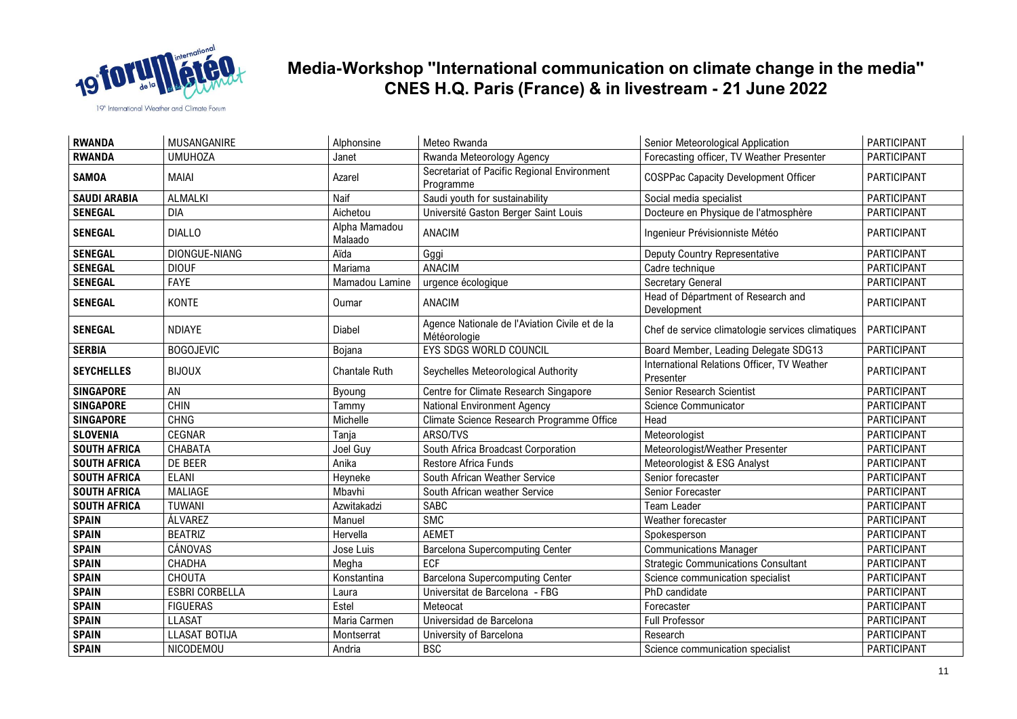

| <b>RWANDA</b>       | MUSANGANIRE           | Alphonsine               | Meteo Rwanda                                                   | Senior Meteorological Application                        | PARTICIPANT        |
|---------------------|-----------------------|--------------------------|----------------------------------------------------------------|----------------------------------------------------------|--------------------|
| <b>RWANDA</b>       | <b>UMUHOZA</b>        | Janet                    | Rwanda Meteorology Agency                                      | Forecasting officer, TV Weather Presenter                | PARTICIPANT        |
| <b>SAMOA</b>        | <b>MAIAI</b>          | Azarel                   | Secretariat of Pacific Regional Environment<br>Programme       | <b>COSPPac Capacity Development Officer</b>              | PARTICIPANT        |
| <b>SAUDI ARABIA</b> | <b>ALMALKI</b>        | Naif                     | Saudi youth for sustainability                                 | Social media specialist                                  | PARTICIPANT        |
| <b>SENEGAL</b>      | <b>DIA</b>            | Aichetou                 | Université Gaston Berger Saint Louis                           | Docteure en Physique de l'atmosphère                     | PARTICIPANT        |
| <b>SENEGAL</b>      | <b>DIALLO</b>         | Alpha Mamadou<br>Malaado | ANACIM                                                         | Ingenieur Prévisionniste Météo                           | PARTICIPANT        |
| <b>SENEGAL</b>      | DIONGUE-NIANG         | Aïda                     | Gggi                                                           | <b>Deputy Country Representative</b>                     | PARTICIPANT        |
| <b>SENEGAL</b>      | <b>DIOUF</b>          | Mariama                  | ANACIM                                                         | Cadre technique                                          | PARTICIPANT        |
| <b>SENEGAL</b>      | FAYE                  | Mamadou Lamine           | urgence écologique                                             | Secretary General                                        | PARTICIPANT        |
| <b>SENEGAL</b>      | <b>KONTE</b>          | Oumar                    | ANACIM                                                         | Head of Départment of Research and<br>Development        | PARTICIPANT        |
| <b>SENEGAL</b>      | <b>NDIAYE</b>         | <b>Diabel</b>            | Agence Nationale de l'Aviation Civile et de la<br>Météorologie | Chef de service climatologie services climatiques        | PARTICIPANT        |
| <b>SERBIA</b>       | <b>BOGOJEVIC</b>      | Bojana                   | <b>EYS SDGS WORLD COUNCIL</b>                                  | Board Member, Leading Delegate SDG13                     | PARTICIPANT        |
| <b>SEYCHELLES</b>   | <b>BIJOUX</b>         | Chantale Ruth            | Seychelles Meteorological Authority                            | International Relations Officer, TV Weather<br>Presenter | PARTICIPANT        |
| <b>SINGAPORE</b>    | AN                    | Byoung                   | Centre for Climate Research Singapore                          | Senior Research Scientist                                | PARTICIPANT        |
| <b>SINGAPORE</b>    | <b>CHIN</b>           | Tammy                    | <b>National Environment Agency</b>                             | Science Communicator                                     | PARTICIPANT        |
| <b>SINGAPORE</b>    | <b>CHNG</b>           | Michelle                 | Climate Science Research Programme Office                      | Head                                                     | PARTICIPANT        |
| <b>SLOVENIA</b>     | CEGNAR                | Tanja                    | ARSO/TVS                                                       | Meteorologist                                            | PARTICIPANT        |
| <b>SOUTH AFRICA</b> | CHABATA               | Joel Guy                 | South Africa Broadcast Corporation                             | Meteorologist/Weather Presenter                          | PARTICIPANT        |
| <b>SOUTH AFRICA</b> | DE BEER               | Anika                    | Restore Africa Funds                                           | Meteorologist & ESG Analyst                              | PARTICIPANT        |
| <b>SOUTH AFRICA</b> | <b>ELANI</b>          | Heyneke                  | South African Weather Service                                  | Senior forecaster                                        | PARTICIPANT        |
| <b>SOUTH AFRICA</b> | <b>MALIAGE</b>        | Mbavhi                   | South African weather Service                                  | Senior Forecaster                                        | PARTICIPANT        |
| <b>SOUTH AFRICA</b> | TUWANI                | Azwitakadzi              | SABC                                                           | <b>Team Leader</b>                                       | PARTICIPANT        |
| <b>SPAIN</b>        | ÁLVAREZ               | Manuel                   | <b>SMC</b>                                                     | Weather forecaster                                       | PARTICIPANT        |
| <b>SPAIN</b>        | <b>BEATRIZ</b>        | Hervella                 | <b>AEMET</b>                                                   | Spokesperson                                             | PARTICIPANT        |
| <b>SPAIN</b>        | <b>CÁNOVAS</b>        | Jose Luis                | <b>Barcelona Supercomputing Center</b>                         | <b>Communications Manager</b>                            | PARTICIPANT        |
| <b>SPAIN</b>        | CHADHA                | Megha                    | ECF                                                            | <b>Strategic Communications Consultant</b>               | PARTICIPANT        |
| <b>SPAIN</b>        | CHOUTA                | Konstantina              | <b>Barcelona Supercomputing Center</b>                         | Science communication specialist                         | PARTICIPANT        |
| <b>SPAIN</b>        | <b>ESBRI CORBELLA</b> | Laura                    | Universitat de Barcelona - FBG                                 | PhD candidate                                            | PARTICIPANT        |
| <b>SPAIN</b>        | <b>FIGUERAS</b>       | Estel                    | Meteocat                                                       | Forecaster                                               | PARTICIPANT        |
| <b>SPAIN</b>        | <b>LLASAT</b>         | Maria Carmen             | Universidad de Barcelona                                       | Full Professor                                           | <b>PARTICIPANT</b> |
| <b>SPAIN</b>        | <b>LLASAT BOTIJA</b>  | Montserrat               | University of Barcelona                                        | Research                                                 | PARTICIPANT        |
| <b>SPAIN</b>        | NICODEMOU             | Andria                   | <b>BSC</b>                                                     | Science communication specialist                         | PARTICIPANT        |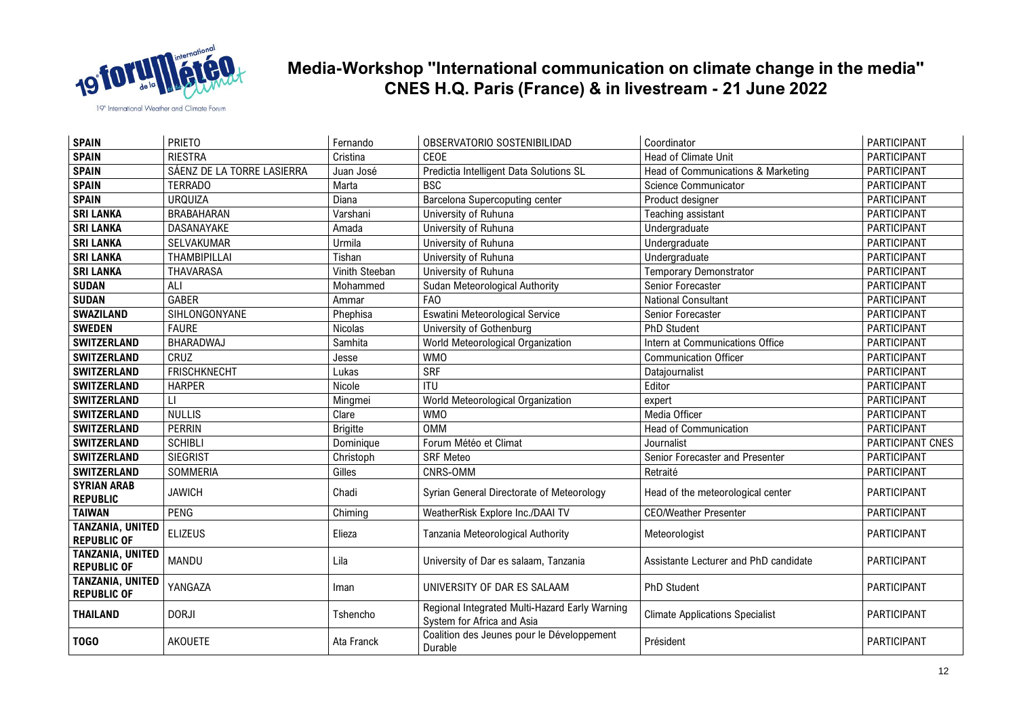

| <b>SPAIN</b>                                  | <b>PRIETO</b>              | Fernando        | OBSERVATORIO SOSTENIBILIDAD                                                  | Coordinator                            | PARTICIPANT      |
|-----------------------------------------------|----------------------------|-----------------|------------------------------------------------------------------------------|----------------------------------------|------------------|
| <b>SPAIN</b>                                  | <b>RIESTRA</b>             | Cristina        | CEOE                                                                         | <b>Head of Climate Unit</b>            | PARTICIPANT      |
| <b>SPAIN</b>                                  | SÁENZ DE LA TORRE LASIERRA | Juan José       | Predictia Intelligent Data Solutions SL                                      | Head of Communications & Marketing     | PARTICIPANT      |
| <b>SPAIN</b>                                  | <b>TERRADO</b>             | Marta           | <b>BSC</b>                                                                   | Science Communicator                   | PARTICIPANT      |
| <b>SPAIN</b>                                  | <b>URQUIZA</b>             | Diana           | Barcelona Supercoputing center                                               | Product designer                       | PARTICIPANT      |
| <b>SRI LANKA</b>                              | <b>BRABAHARAN</b>          | Varshani        | University of Ruhuna                                                         | Teaching assistant                     | PARTICIPANT      |
| <b>SRI LANKA</b>                              | DASANAYAKE                 | Amada           | University of Ruhuna                                                         | Undergraduate                          | PARTICIPANT      |
| <b>SRI LANKA</b>                              | SELVAKUMAR                 | Urmila          | University of Ruhuna                                                         | Undergraduate                          | PARTICIPANT      |
| <b>SRI LANKA</b>                              | <b>THAMBIPILLAI</b>        | Tishan          | University of Ruhuna                                                         | Undergraduate                          | PARTICIPANT      |
| <b>SRI LANKA</b>                              | THAVARASA                  | Vinith Steeban  | University of Ruhuna                                                         | <b>Temporary Demonstrator</b>          | PARTICIPANT      |
| <b>SUDAN</b>                                  | ALI                        | Mohammed        | Sudan Meteorological Authority                                               | Senior Forecaster                      | PARTICIPANT      |
| <b>SUDAN</b>                                  | <b>GABER</b>               | Ammar           | <b>FAO</b>                                                                   | <b>National Consultant</b>             | PARTICIPANT      |
| <b>SWAZILAND</b>                              | SIHLONGONYANE              | Phephisa        | Eswatini Meteorological Service                                              | Senior Forecaster                      | PARTICIPANT      |
| <b>SWEDEN</b>                                 | <b>FAURE</b>               | Nicolas         | University of Gothenburg                                                     | PhD Student                            | PARTICIPANT      |
| <b>SWITZERLAND</b>                            | BHARADWAJ                  | Samhita         | World Meteorological Organization                                            | Intern at Communications Office        | PARTICIPANT      |
| <b>SWITZERLAND</b>                            | CRUZ                       | Jesse           | <b>WMO</b>                                                                   | <b>Communication Officer</b>           | PARTICIPANT      |
| <b>SWITZERLAND</b>                            | <b>FRISCHKNECHT</b>        | Lukas           | <b>SRF</b>                                                                   | Datajournalist                         | PARTICIPANT      |
| <b>SWITZERLAND</b>                            | <b>HARPER</b>              | Nicole          | <b>ITU</b>                                                                   | Editor                                 | PARTICIPANT      |
| <b>SWITZERLAND</b>                            | П                          | Mingmei         | World Meteorological Organization                                            | expert                                 | PARTICIPANT      |
| <b>SWITZERLAND</b>                            | <b>NULLIS</b>              | Clare           | <b>WMO</b>                                                                   | Media Officer                          | PARTICIPANT      |
| <b>SWITZERLAND</b>                            | <b>PERRIN</b>              | <b>Brigitte</b> | <b>OMM</b>                                                                   | <b>Head of Communication</b>           | PARTICIPANT      |
| <b>SWITZERLAND</b>                            | <b>SCHIBLI</b>             | Dominique       | Forum Météo et Climat                                                        | Journalist                             | PARTICIPANT CNES |
| <b>SWITZERLAND</b>                            | <b>SIEGRIST</b>            | Christoph       | <b>SRF Meteo</b>                                                             | Senior Forecaster and Presenter        | PARTICIPANT      |
| <b>SWITZERLAND</b>                            | <b>SOMMERIA</b>            | Gilles          | CNRS-OMM                                                                     | Retraité                               | PARTICIPANT      |
| <b>SYRIAN ARAB</b><br><b>REPUBLIC</b>         | <b>JAWICH</b>              | Chadi           | Syrian General Directorate of Meteorology                                    | Head of the meteorological center      | PARTICIPANT      |
| <b>TAIWAN</b>                                 | PENG                       | Chiming         | WeatherRisk Explore Inc./DAAI TV                                             | <b>CEO/Weather Presenter</b>           | PARTICIPANT      |
| <b>TANZANIA, UNITED</b><br><b>REPUBLIC OF</b> | <b>ELIZEUS</b>             | Elieza          | Tanzania Meteorological Authority                                            | Meteorologist                          | PARTICIPANT      |
| TANZANIA, UNITED<br><b>REPUBLIC OF</b>        | MANDU                      | Lila            | University of Dar es salaam, Tanzania                                        | Assistante Lecturer and PhD candidate  | PARTICIPANT      |
| <b>TANZANIA, UNITED</b><br><b>REPUBLIC OF</b> | YANGAZA                    | Iman            | UNIVERSITY OF DAR ES SALAAM                                                  | <b>PhD Student</b>                     | PARTICIPANT      |
| <b>THAILAND</b>                               | <b>DORJI</b>               | Tshencho        | Regional Integrated Multi-Hazard Early Warning<br>System for Africa and Asia | <b>Climate Applications Specialist</b> | PARTICIPANT      |
| T <sub>0</sub> G <sub>0</sub>                 | AKOUETE                    | Ata Franck      | Coalition des Jeunes pour le Développement<br>Durable                        | Président                              | PARTICIPANT      |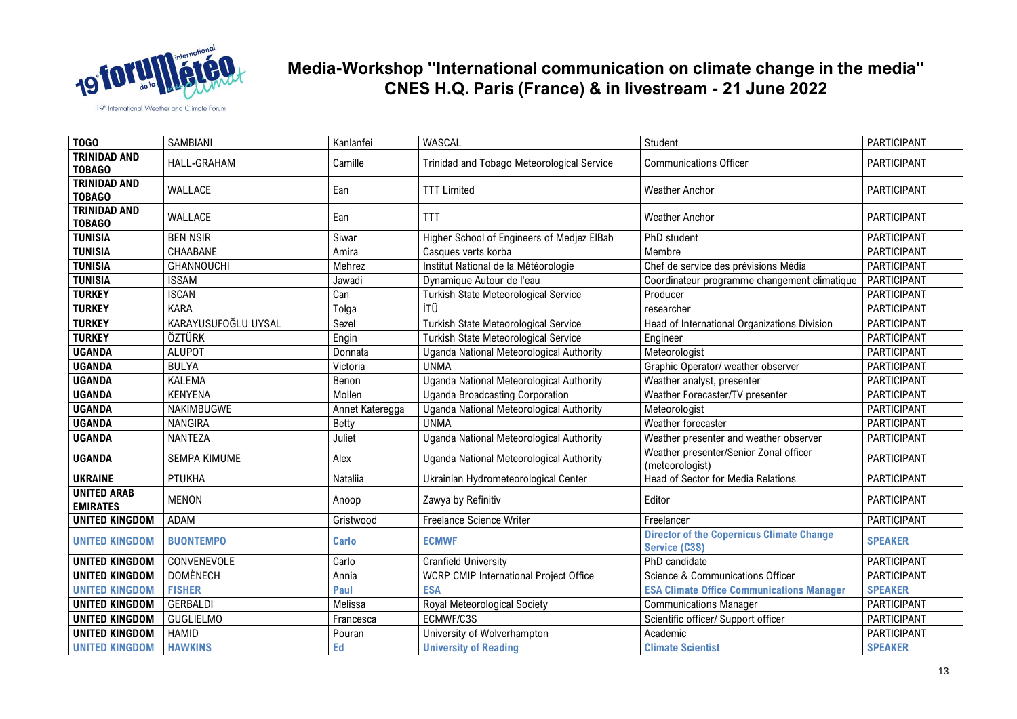

| <b>T0G0</b>                           | SAMBIANI            | Kanlanfei       | WASCAL                                     | Student                                                                  | <b>PARTICIPANT</b> |
|---------------------------------------|---------------------|-----------------|--------------------------------------------|--------------------------------------------------------------------------|--------------------|
| <b>TRINIDAD AND</b><br><b>TOBAGO</b>  | HALL-GRAHAM         | Camille         | Trinidad and Tobago Meteorological Service | <b>Communications Officer</b>                                            | PARTICIPANT        |
| <b>TRINIDAD AND</b><br><b>TOBAGO</b>  | WALLACE             | Ean             | <b>TTT Limited</b>                         | <b>Weather Anchor</b>                                                    | PARTICIPANT        |
| <b>TRINIDAD AND</b><br><b>TOBAGO</b>  | WALLACE             | Ean             | <b>TTT</b>                                 | <b>Weather Anchor</b>                                                    | PARTICIPANT        |
| <b>TUNISIA</b>                        | <b>BEN NSIR</b>     | Siwar           | Higher School of Engineers of Medjez ElBab | PhD student                                                              | PARTICIPANT        |
| <b>TUNISIA</b>                        | CHAABANE            | Amira           | Casques verts korba                        | Membre                                                                   | PARTICIPANT        |
| <b>TUNISIA</b>                        | <b>GHANNOUCHI</b>   | Mehrez          | Institut National de la Météorologie       | Chef de service des prévisions Média                                     | PARTICIPANT        |
| <b>TUNISIA</b>                        | <b>ISSAM</b>        | Jawadi          | Dynamique Autour de l'eau                  | Coordinateur programme changement climatique                             | <b>PARTICIPANT</b> |
| <b>TURKEY</b>                         | <b>ISCAN</b>        | Can             | Turkish State Meteorological Service       | Producer                                                                 | <b>PARTICIPANT</b> |
| <b>TURKEY</b>                         | <b>KARA</b>         | Tolga           | İTÜ                                        | researcher                                                               | <b>PARTICIPANT</b> |
| <b>TURKEY</b>                         | KARAYUSUFOĞLU UYSAL | Sezel           | Turkish State Meteorological Service       | Head of International Organizations Division                             | <b>PARTICIPANT</b> |
| <b>TURKEY</b>                         | ÖZTÜRK              | Engin           | Turkish State Meteorological Service       | Engineer                                                                 | <b>PARTICIPANT</b> |
| <b>UGANDA</b>                         | <b>ALUPOT</b>       | Donnata         | Uganda National Meteorological Authority   | Meteorologist                                                            | PARTICIPANT        |
| <b>UGANDA</b>                         | <b>BULYA</b>        | Victoria        | <b>UNMA</b>                                | Graphic Operator/ weather observer                                       | PARTICIPANT        |
| <b>UGANDA</b>                         | KALEMA              | Benon           | Uganda National Meteorological Authority   | Weather analyst, presenter                                               | PARTICIPANT        |
| <b>UGANDA</b>                         | <b>KENYENA</b>      | Mollen          | <b>Uganda Broadcasting Corporation</b>     | Weather Forecaster/TV presenter                                          | <b>PARTICIPANT</b> |
| <b>UGANDA</b>                         | NAKIMBUGWE          | Annet Kateregga | Uganda National Meteorological Authority   | Meteorologist                                                            | PARTICIPANT        |
| <b>UGANDA</b>                         | <b>NANGIRA</b>      | Betty           | <b>UNMA</b>                                | Weather forecaster                                                       | <b>PARTICIPANT</b> |
| <b>UGANDA</b>                         | <b>NANTEZA</b>      | Juliet          | Uganda National Meteorological Authority   | Weather presenter and weather observer                                   | PARTICIPANT        |
| <b>UGANDA</b>                         | <b>SEMPA KIMUME</b> | Alex            | Uganda National Meteorological Authority   | Weather presenter/Senior Zonal officer<br>(meteorologist)                | PARTICIPANT        |
| <b>UKRAINE</b>                        | PTUKHA              | Nataliia        | Ukrainian Hydrometeorological Center       | Head of Sector for Media Relations                                       | PARTICIPANT        |
| <b>UNITED ARAB</b><br><b>EMIRATES</b> | <b>MENON</b>        | Anoop           | Zawya by Refinitiv                         | Editor                                                                   | PARTICIPANT        |
| <b>UNITED KINGDOM</b>                 | ADAM                | Gristwood       | Freelance Science Writer                   | Freelancer                                                               | PARTICIPANT        |
| <b>UNITED KINGDOM</b>                 | <b>BUONTEMPO</b>    | <b>Carlo</b>    | <b>ECMWF</b>                               | <b>Director of the Copernicus Climate Change</b><br><b>Service (C3S)</b> | <b>SPEAKER</b>     |
| <b>UNITED KINGDOM</b>                 | CONVENEVOLE         | Carlo           | <b>Cranfield University</b>                | PhD candidate                                                            | PARTICIPANT        |
| <b>UNITED KINGDOM</b>                 | <b>DOMÈNECH</b>     | Annia           | WCRP CMIP International Project Office     | Science & Communications Officer                                         | <b>PARTICIPANT</b> |
| <b>UNITED KINGDOM</b>                 | <b>FISHER</b>       | Paul            | <b>ESA</b>                                 | <b>ESA Climate Office Communications Manager</b>                         | <b>SPEAKER</b>     |
| <b>UNITED KINGDOM</b>                 | <b>GERBALDI</b>     | Melissa         | Royal Meteorological Society               | <b>Communications Manager</b>                                            | <b>PARTICIPANT</b> |
| <b>UNITED KINGDOM</b>                 | <b>GUGLIELMO</b>    | Francesca       | ECMWF/C3S                                  | Scientific officer/ Support officer                                      | PARTICIPANT        |
| <b>UNITED KINGDOM</b>                 | <b>HAMID</b>        | Pouran          | University of Wolverhampton                | Academic                                                                 | PARTICIPANT        |
| <b>UNITED KINGDOM</b>                 | <b>HAWKINS</b>      | Ed              | <b>University of Reading</b>               | <b>Climate Scientist</b>                                                 | <b>SPEAKER</b>     |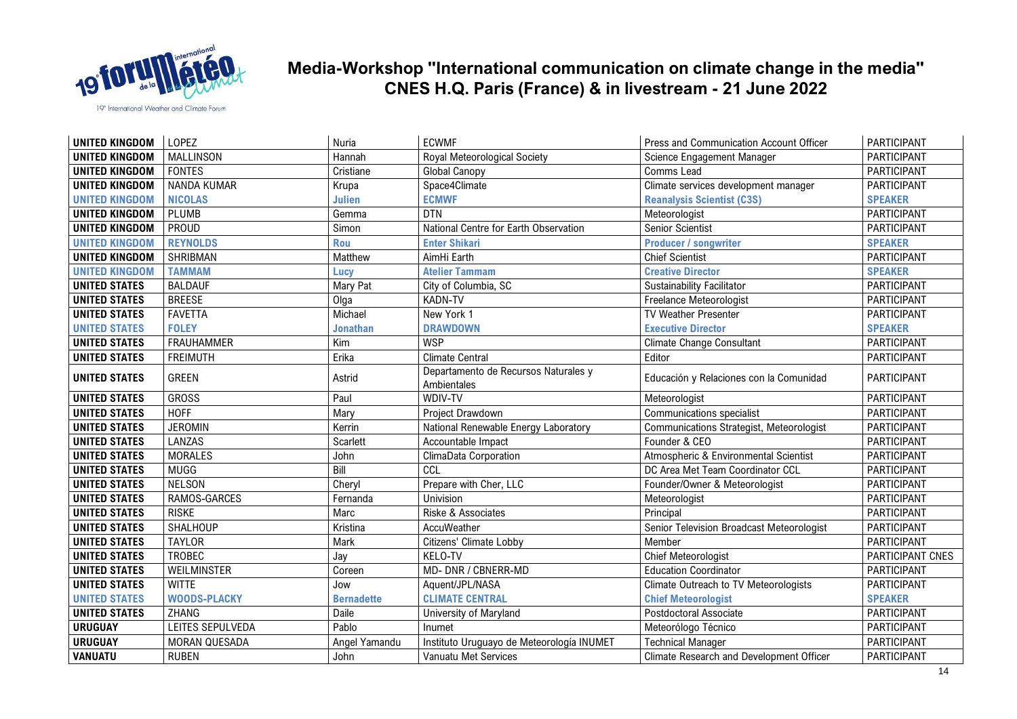

| <b>UNITED KINGDOM</b> | LOPEZ               | Nuria             | <b>ECWMF</b>                                        | Press and Communication Account Officer         | PARTICIPANT        |
|-----------------------|---------------------|-------------------|-----------------------------------------------------|-------------------------------------------------|--------------------|
| <b>UNITED KINGDOM</b> | <b>MALLINSON</b>    | Hannah            | Royal Meteorological Society                        | Science Engagement Manager                      | PARTICIPANT        |
| <b>UNITED KINGDOM</b> | <b>FONTES</b>       | Cristiane         | <b>Global Canopy</b>                                | Comms Lead                                      | PARTICIPANT        |
| <b>UNITED KINGDOM</b> | NANDA KUMAR         | Krupa             | Space4Climate                                       | Climate services development manager            | PARTICIPANT        |
| <b>UNITED KINGDOM</b> | <b>NICOLAS</b>      | <b>Julien</b>     | <b>ECMWF</b>                                        | <b>Reanalysis Scientist (C3S)</b>               | <b>SPEAKER</b>     |
| <b>UNITED KINGDOM</b> | PLUMB               | Gemma             | <b>DTN</b>                                          | Meteorologist                                   | PARTICIPANT        |
| <b>UNITED KINGDOM</b> | PROUD               | Simon             | National Centre for Earth Observation               | <b>Senior Scientist</b>                         | PARTICIPANT        |
| <b>UNITED KINGDOM</b> | <b>REYNOLDS</b>     | <b>Rou</b>        | <b>Enter Shikari</b>                                | <b>Producer / songwriter</b>                    | <b>SPEAKER</b>     |
| <b>UNITED KINGDOM</b> | SHRIBMAN            | Matthew           | AimHi Earth                                         | <b>Chief Scientist</b>                          | PARTICIPANT        |
| <b>UNITED KINGDOM</b> | <b>TAMMAM</b>       | Lucy              | <b>Atelier Tammam</b>                               | <b>Creative Director</b>                        | <b>SPEAKER</b>     |
| <b>UNITED STATES</b>  | <b>BALDAUF</b>      | Mary Pat          | City of Columbia, SC                                | Sustainability Facilitator                      | PARTICIPANT        |
| <b>UNITED STATES</b>  | <b>BREESE</b>       | Olga              | <b>KADN-TV</b>                                      | Freelance Meteorologist                         | PARTICIPANT        |
| <b>UNITED STATES</b>  | <b>FAVETTA</b>      | Michael           | New York 1                                          | TV Weather Presenter                            | PARTICIPANT        |
| <b>UNITED STATES</b>  | <b>FOLEY</b>        | <b>Jonathan</b>   | <b>DRAWDOWN</b>                                     | <b>Executive Director</b>                       | <b>SPEAKER</b>     |
| <b>UNITED STATES</b>  | <b>FRAUHAMMER</b>   | Kim               | <b>WSP</b>                                          | <b>Climate Change Consultant</b>                | <b>PARTICIPANT</b> |
| <b>UNITED STATES</b>  | <b>FREIMUTH</b>     | Erika             | <b>Climate Central</b>                              | Editor                                          | PARTICIPANT        |
| <b>UNITED STATES</b>  | <b>GREEN</b>        | Astrid            | Departamento de Recursos Naturales y<br>Ambientales | Educación y Relaciones con la Comunidad         | PARTICIPANT        |
| <b>UNITED STATES</b>  | <b>GROSS</b>        | Paul              | WDIV-TV                                             | Meteorologist                                   | PARTICIPANT        |
| <b>UNITED STATES</b>  | <b>HOFF</b>         | Mary              | Project Drawdown                                    | <b>Communications specialist</b>                | PARTICIPANT        |
| <b>UNITED STATES</b>  | <b>JEROMIN</b>      | Kerrin            | National Renewable Energy Laboratory                | <b>Communications Strategist, Meteorologist</b> | PARTICIPANT        |
| <b>UNITED STATES</b>  | LANZAS              | Scarlett          | Accountable Impact                                  | Founder & CEO                                   | PARTICIPANT        |
| <b>UNITED STATES</b>  | <b>MORALES</b>      | John              | ClimaData Corporation                               | Atmospheric & Environmental Scientist           | PARTICIPANT        |
| <b>UNITED STATES</b>  | <b>MUGG</b>         | Bill              | CCL                                                 | DC Area Met Team Coordinator CCL                | PARTICIPANT        |
| <b>UNITED STATES</b>  | <b>NELSON</b>       | Cheryl            | Prepare with Cher, LLC                              | Founder/Owner & Meteorologist                   | PARTICIPANT        |
| <b>UNITED STATES</b>  | RAMOS-GARCES        | Fernanda          | Univision                                           | Meteorologist                                   | PARTICIPANT        |
| <b>UNITED STATES</b>  | <b>RISKE</b>        | Marc              | Riske & Associates                                  | Principal                                       | PARTICIPANT        |
| <b>UNITED STATES</b>  | <b>SHALHOUP</b>     | Kristina          | AccuWeather                                         | Senior Television Broadcast Meteorologist       | PARTICIPANT        |
| <b>UNITED STATES</b>  | <b>TAYLOR</b>       | Mark              | Citizens' Climate Lobby                             | Member                                          | PARTICIPANT        |
| <b>UNITED STATES</b>  | <b>TROBEC</b>       | Jay               | KELO-TV                                             | <b>Chief Meteorologist</b>                      | PARTICIPANT CNES   |
| <b>UNITED STATES</b>  | WEILMINSTER         | Coreen            | MD- DNR / CBNERR-MD                                 | <b>Education Coordinator</b>                    | <b>PARTICIPANT</b> |
| <b>UNITED STATES</b>  | <b>WITTE</b>        | Jow               | Aquent/JPL/NASA                                     | Climate Outreach to TV Meteorologists           | PARTICIPANT        |
| <b>UNITED STATES</b>  | <b>WOODS-PLACKY</b> | <b>Bernadette</b> | <b>CLIMATE CENTRAL</b>                              | <b>Chief Meteorologist</b>                      | <b>SPEAKER</b>     |
| <b>UNITED STATES</b>  | <b>ZHANG</b>        | Daile             | University of Maryland                              | Postdoctoral Associate                          | PARTICIPANT        |
| <b>URUGUAY</b>        | LEITES SEPULVEDA    | Pablo             | Inumet                                              | Meteorólogo Técnico                             | PARTICIPANT        |
| <b>URUGUAY</b>        | MORAN QUESADA       | Angel Yamandu     | Instituto Uruguayo de Meteorología INUMET           | <b>Technical Manager</b>                        | PARTICIPANT        |
| <b>VANUATU</b>        | <b>RUBEN</b>        | John              | Vanuatu Met Services                                | Climate Research and Development Officer        | PARTICIPANT        |